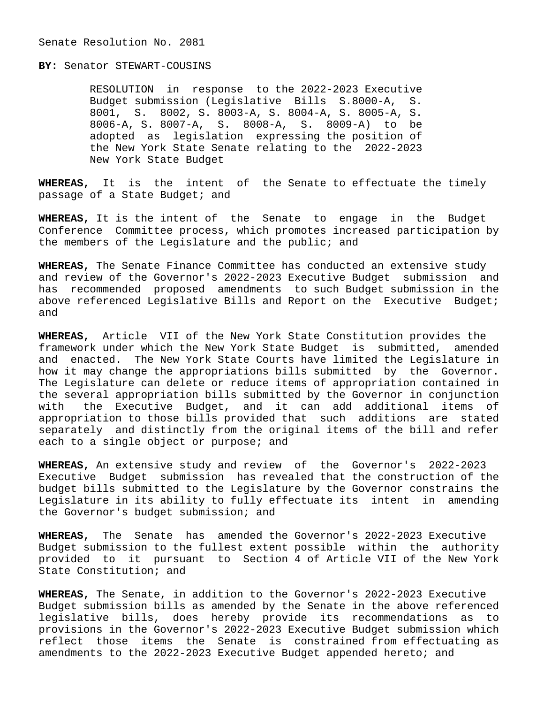#### Senate Resolution No. 2081

**BY:** Senator STEWART-COUSINS

 RESOLUTION in response to the 2022-2023 Executive Budget submission (Legislative Bills S.8000-A, S. 8001, S. 8002, S. 8003-A, S. 8004-A, S. 8005-A, S. 8006-A, S. 8007-A, S. 8008-A, S. 8009-A) to be adopted as legislation expressing the position of the New York State Senate relating to the 2022-2023 New York State Budget

**WHEREAS,** It is the intent of the Senate to effectuate the timely passage of a State Budget; and

**WHEREAS,** It is the intent of the Senate to engage in the Budget Conference Committee process, which promotes increased participation by the members of the Legislature and the public; and

**WHEREAS,** The Senate Finance Committee has conducted an extensive study and review of the Governor's 2022-2023 Executive Budget submission and has recommended proposed amendments to such Budget submission in the above referenced Legislative Bills and Report on the Executive Budget; and

**WHEREAS,** Article VII of the New York State Constitution provides the framework under which the New York State Budget is submitted, amended and enacted. The New York State Courts have limited the Legislature in how it may change the appropriations bills submitted by the Governor. The Legislature can delete or reduce items of appropriation contained in the several appropriation bills submitted by the Governor in conjunction with the Executive Budget, and it can add additional items of appropriation to those bills provided that such additions are stated separately and distinctly from the original items of the bill and refer each to a single object or purpose; and

**WHEREAS,** An extensive study and review of the Governor's 2022-2023 Executive Budget submission has revealed that the construction of the budget bills submitted to the Legislature by the Governor constrains the Legislature in its ability to fully effectuate its intent in amending the Governor's budget submission; and

**WHEREAS,** The Senate has amended the Governor's 2022-2023 Executive Budget submission to the fullest extent possible within the authority provided to it pursuant to Section 4 of Article VII of the New York State Constitution; and

**WHEREAS,** The Senate, in addition to the Governor's 2022-2023 Executive Budget submission bills as amended by the Senate in the above referenced legislative bills, does hereby provide its recommendations as to provisions in the Governor's 2022-2023 Executive Budget submission which reflect those items the Senate is constrained from effectuating as amendments to the 2022-2023 Executive Budget appended hereto; and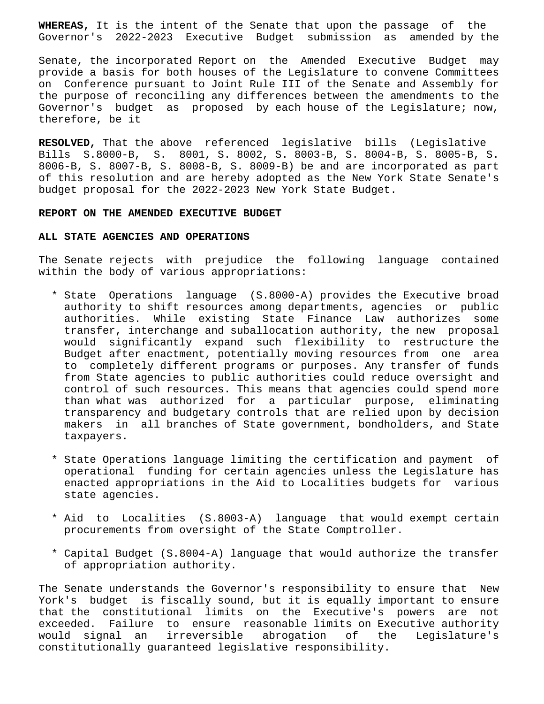**WHEREAS,** It is the intent of the Senate that upon the passage of the Governor's 2022-2023 Executive Budget submission as amended by the

Senate, the incorporated Report on the Amended Executive Budget may provide a basis for both houses of the Legislature to convene Committees on Conference pursuant to Joint Rule III of the Senate and Assembly for the purpose of reconciling any differences between the amendments to the Governor's budget as proposed by each house of the Legislature; now, therefore, be it

**RESOLVED,** That the above referenced legislative bills (Legislative Bills S.8000-B, S. 8001, S. 8002, S. 8003-B, S. 8004-B, S. 8005-B, S. 8006-B, S. 8007-B, S. 8008-B, S. 8009-B) be and are incorporated as part of this resolution and are hereby adopted as the New York State Senate's budget proposal for the 2022-2023 New York State Budget.

#### **REPORT ON THE AMENDED EXECUTIVE BUDGET**

### **ALL STATE AGENCIES AND OPERATIONS**

The Senate rejects with prejudice the following language contained within the body of various appropriations:

- \* State Operations language (S.8000-A) provides the Executive broad authority to shift resources among departments, agencies or public authorities. While existing State Finance Law authorizes some transfer, interchange and suballocation authority, the new proposal would significantly expand such flexibility to restructure the Budget after enactment, potentially moving resources from one area to completely different programs or purposes. Any transfer of funds from State agencies to public authorities could reduce oversight and control of such resources. This means that agencies could spend more than what was authorized for a particular purpose, eliminating transparency and budgetary controls that are relied upon by decision makers in all branches of State government, bondholders, and State taxpayers.
- \* State Operations language limiting the certification and payment of operational funding for certain agencies unless the Legislature has enacted appropriations in the Aid to Localities budgets for various state agencies.
- \* Aid to Localities (S.8003-A) language that would exempt certain procurements from oversight of the State Comptroller.
- \* Capital Budget (S.8004-A) language that would authorize the transfer of appropriation authority.

The Senate understands the Governor's responsibility to ensure that New York's budget is fiscally sound, but it is equally important to ensure that the constitutional limits on the Executive's powers are not exceeded. Failure to ensure reasonable limits on Executive authority would signal an irreversible abrogation of the Legislature's constitutionally guaranteed legislative responsibility.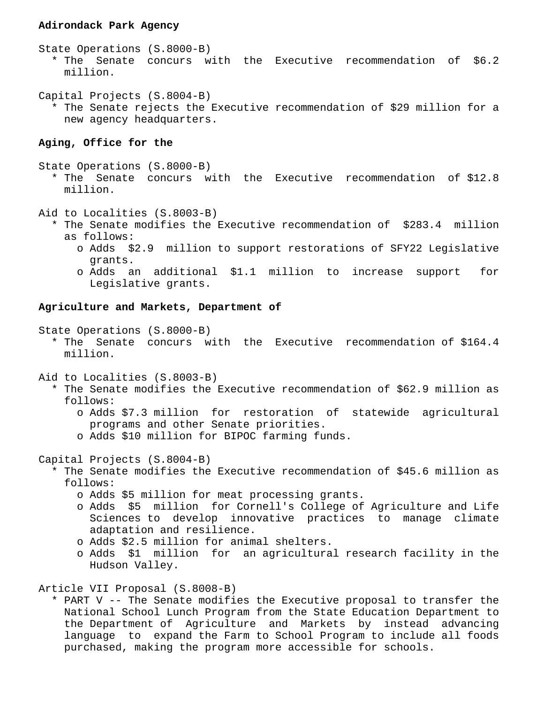### **Adirondack Park Agency**

State Operations (S.8000-B)

 \* The Senate concurs with the Executive recommendation of \$6.2 million.

Capital Projects (S.8004-B) \* The Senate rejects the Executive recommendation of \$29 million for a new agency headquarters.

# **Aging, Office for the**

State Operations (S.8000-B)

 \* The Senate concurs with the Executive recommendation of \$12.8 million.

Aid to Localities (S.8003-B)

- \* The Senate modifies the Executive recommendation of \$283.4 million as follows:
	- o Adds \$2.9 million to support restorations of SFY22 Legislative grants.
	- o Adds an additional \$1.1 million to increase support for Legislative grants.

## **Agriculture and Markets, Department of**

State Operations (S.8000-B)

 \* The Senate concurs with the Executive recommendation of \$164.4 million.

Aid to Localities (S.8003-B)

- \* The Senate modifies the Executive recommendation of \$62.9 million as follows:
	- o Adds \$7.3 million for restoration of statewide agricultural programs and other Senate priorities.
	- o Adds \$10 million for BIPOC farming funds.

Capital Projects (S.8004-B)

- \* The Senate modifies the Executive recommendation of \$45.6 million as follows:
	- o Adds \$5 million for meat processing grants.
	- o Adds \$5 million for Cornell's College of Agriculture and Life Sciences to develop innovative practices to manage climate adaptation and resilience.
	- o Adds \$2.5 million for animal shelters.
	- o Adds \$1 million for an agricultural research facility in the Hudson Valley.

Article VII Proposal (S.8008-B)

 \* PART V -- The Senate modifies the Executive proposal to transfer the National School Lunch Program from the State Education Department to the Department of Agriculture and Markets by instead advancing language to expand the Farm to School Program to include all foods purchased, making the program more accessible for schools.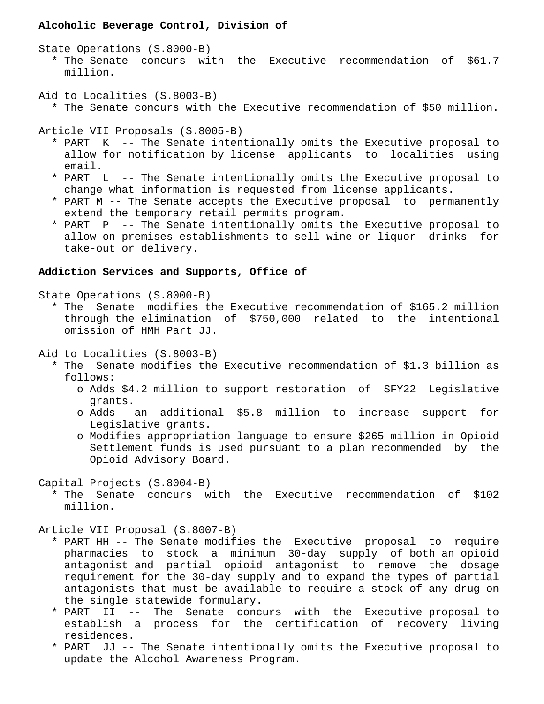# **Alcoholic Beverage Control, Division of**

State Operations (S.8000-B)

 \* The Senate concurs with the Executive recommendation of \$61.7 million.

Aid to Localities (S.8003-B)

\* The Senate concurs with the Executive recommendation of \$50 million.

Article VII Proposals (S.8005-B)

- \* PART K -- The Senate intentionally omits the Executive proposal to allow for notification by license applicants to localities using email.
- \* PART L -- The Senate intentionally omits the Executive proposal to change what information is requested from license applicants.
- \* PART M -- The Senate accepts the Executive proposal to permanently extend the temporary retail permits program.
- \* PART P -- The Senate intentionally omits the Executive proposal to allow on-premises establishments to sell wine or liquor drinks for take-out or delivery.

# **Addiction Services and Supports, Office of**

State Operations (S.8000-B)

 \* The Senate modifies the Executive recommendation of \$165.2 million through the elimination of \$750,000 related to the intentional omission of HMH Part JJ.

Aid to Localities (S.8003-B)

- \* The Senate modifies the Executive recommendation of \$1.3 billion as follows:
	- o Adds \$4.2 million to support restoration of SFY22 Legislative grants.
	- o Adds an additional \$5.8 million to increase support for Legislative grants.
	- o Modifies appropriation language to ensure \$265 million in Opioid Settlement funds is used pursuant to a plan recommended by the Opioid Advisory Board.

Capital Projects (S.8004-B)

 \* The Senate concurs with the Executive recommendation of \$102 million.

Article VII Proposal (S.8007-B)

- \* PART HH -- The Senate modifies the Executive proposal to require pharmacies to stock a minimum 30-day supply of both an opioid antagonist and partial opioid antagonist to remove the dosage requirement for the 30-day supply and to expand the types of partial antagonists that must be available to require a stock of any drug on the single statewide formulary.
- \* PART II -- The Senate concurs with the Executive proposal to establish a process for the certification of recovery living residences.
- \* PART JJ -- The Senate intentionally omits the Executive proposal to update the Alcohol Awareness Program.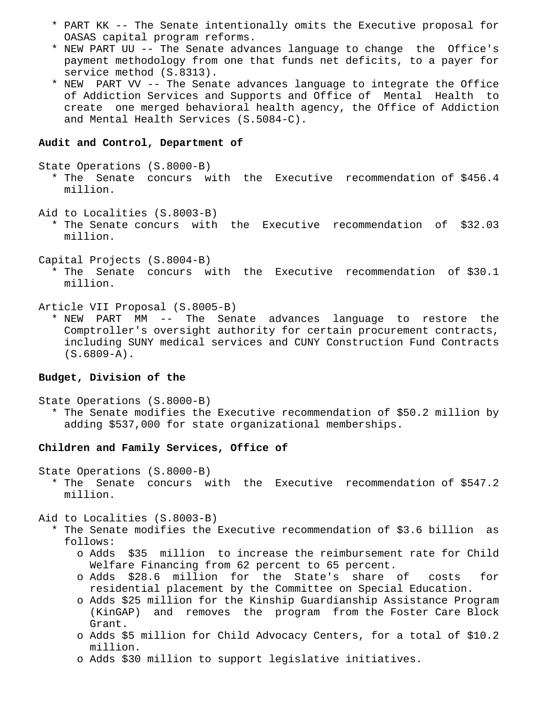- \* PART KK -- The Senate intentionally omits the Executive proposal for OASAS capital program reforms.
- \* NEW PART UU -- The Senate advances language to change the Office's payment methodology from one that funds net deficits, to a payer for service method (S.8313).
- \* NEW PART VV -- The Senate advances language to integrate the Office of Addiction Services and Supports and Office of Mental Health to create one merged behavioral health agency, the Office of Addiction and Mental Health Services (S.5084-C).

#### **Audit and Control, Department of**

State Operations (S.8000-B)

- \* The Senate concurs with the Executive recommendation of \$456.4 million.
- Aid to Localities (S.8003-B)
	- \* The Senate concurs with the Executive recommendation of \$32.03 million.
- Capital Projects (S.8004-B)
	- \* The Senate concurs with the Executive recommendation of \$30.1 million.
- Article VII Proposal (S.8005-B)
- \* NEW PART MM -- The Senate advances language to restore the Comptroller's oversight authority for certain procurement contracts, including SUNY medical services and CUNY Construction Fund Contracts (S.6809-A).

### **Budget, Division of the**

State Operations (S.8000-B)

 \* The Senate modifies the Executive recommendation of \$50.2 million by adding \$537,000 for state organizational memberships.

#### **Children and Family Services, Office of**

State Operations (S.8000-B)

 \* The Senate concurs with the Executive recommendation of \$547.2 million.

Aid to Localities (S.8003-B)

- \* The Senate modifies the Executive recommendation of \$3.6 billion as follows:
	- o Adds \$35 million to increase the reimbursement rate for Child Welfare Financing from 62 percent to 65 percent.
	- o Adds \$28.6 million for the State's share of costs for residential placement by the Committee on Special Education.
	- o Adds \$25 million for the Kinship Guardianship Assistance Program (KinGAP) and removes the program from the Foster Care Block Grant.
	- o Adds \$5 million for Child Advocacy Centers, for a total of \$10.2 million.
	- o Adds \$30 million to support legislative initiatives.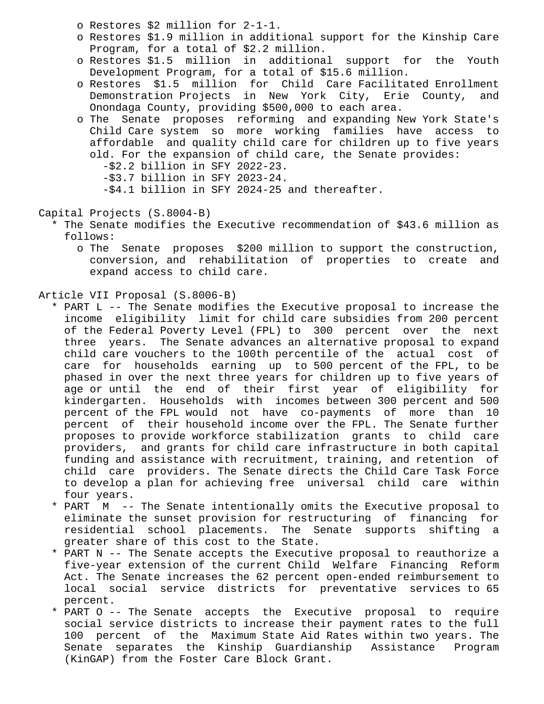- o Restores \$2 million for 2-1-1.
- o Restores \$1.9 million in additional support for the Kinship Care Program, for a total of \$2.2 million.
- o Restores \$1.5 million in additional support for the Youth Development Program, for a total of \$15.6 million.
- o Restores \$1.5 million for Child Care Facilitated Enrollment Demonstration Projects in New York City, Erie County, and Onondaga County, providing \$500,000 to each area.
- o The Senate proposes reforming and expanding New York State's Child Care system so more working families have access to affordable and quality child care for children up to five years old. For the expansion of child care, the Senate provides:
	- -\$2.2 billion in SFY 2022-23.
	- -\$3.7 billion in SFY 2023-24.
	- -\$4.1 billion in SFY 2024-25 and thereafter.
- Capital Projects (S.8004-B)
	- \* The Senate modifies the Executive recommendation of \$43.6 million as follows:
		- o The Senate proposes \$200 million to support the construction, conversion, and rehabilitation of properties to create and expand access to child care.
- Article VII Proposal (S.8006-B)
	- \* PART L -- The Senate modifies the Executive proposal to increase the income eligibility limit for child care subsidies from 200 percent of the Federal Poverty Level (FPL) to 300 percent over the next three years. The Senate advances an alternative proposal to expand child care vouchers to the 100th percentile of the actual cost of care for households earning up to 500 percent of the FPL, to be phased in over the next three years for children up to five years of age or until the end of their first year of eligibility for kindergarten. Households with incomes between 300 percent and 500 percent of the FPL would not have co-payments of more than 10 percent of their household income over the FPL. The Senate further proposes to provide workforce stabilization grants to child care providers, and grants for child care infrastructure in both capital funding and assistance with recruitment, training, and retention of child care providers. The Senate directs the Child Care Task Force to develop a plan for achieving free universal child care within four years.
	- \* PART M -- The Senate intentionally omits the Executive proposal to eliminate the sunset provision for restructuring of financing for residential school placements. The Senate supports shifting a greater share of this cost to the State.
	- \* PART N -- The Senate accepts the Executive proposal to reauthorize a five-year extension of the current Child Welfare Financing Reform Act. The Senate increases the 62 percent open-ended reimbursement to local social service districts for preventative services to 65 percent.
	- \* PART O -- The Senate accepts the Executive proposal to require social service districts to increase their payment rates to the full 100 percent of the Maximum State Aid Rates within two years. The Senate separates the Kinship Guardianship Assistance Program (KinGAP) from the Foster Care Block Grant.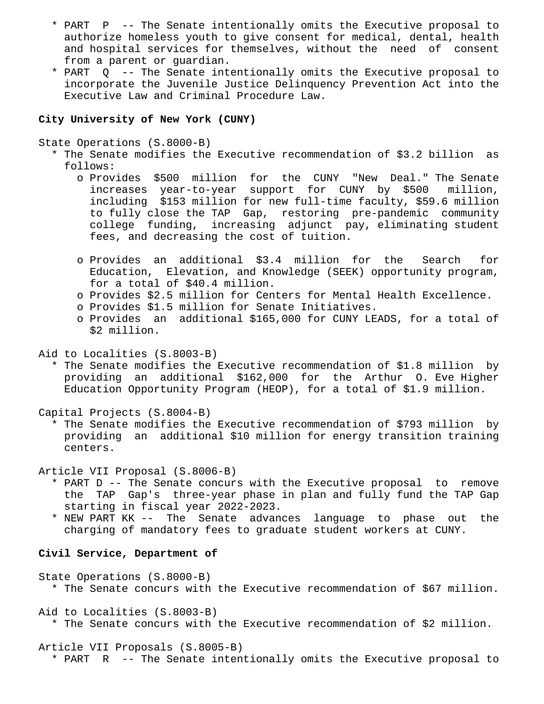- \* PART P -- The Senate intentionally omits the Executive proposal to authorize homeless youth to give consent for medical, dental, health and hospital services for themselves, without the need of consent from a parent or guardian.
- \* PART Q -- The Senate intentionally omits the Executive proposal to incorporate the Juvenile Justice Delinquency Prevention Act into the Executive Law and Criminal Procedure Law.

## **City University of New York (CUNY)**

State Operations (S.8000-B)

- \* The Senate modifies the Executive recommendation of \$3.2 billion as follows:
	- o Provides \$500 million for the CUNY "New Deal." The Senate increases year-to-year support for CUNY by \$500 million, including \$153 million for new full-time faculty, \$59.6 million to fully close the TAP Gap, restoring pre-pandemic community college funding, increasing adjunct pay, eliminating student fees, and decreasing the cost of tuition.
	- o Provides an additional \$3.4 million for the Search for Education, Elevation, and Knowledge (SEEK) opportunity program, for a total of \$40.4 million.
	- o Provides \$2.5 million for Centers for Mental Health Excellence.
	- o Provides \$1.5 million for Senate Initiatives.
	- o Provides an additional \$165,000 for CUNY LEADS, for a total of \$2 million.

Aid to Localities (S.8003-B)

 \* The Senate modifies the Executive recommendation of \$1.8 million by providing an additional \$162,000 for the Arthur O. Eve Higher Education Opportunity Program (HEOP), for a total of \$1.9 million.

Capital Projects (S.8004-B)

 \* The Senate modifies the Executive recommendation of \$793 million by providing an additional \$10 million for energy transition training centers.

Article VII Proposal (S.8006-B)

- \* PART D -- The Senate concurs with the Executive proposal to remove the TAP Gap's three-year phase in plan and fully fund the TAP Gap starting in fiscal year 2022-2023.
- \* NEW PART KK -- The Senate advances language to phase out the charging of mandatory fees to graduate student workers at CUNY.

# **Civil Service, Department of**

State Operations (S.8000-B)

\* The Senate concurs with the Executive recommendation of \$67 million.

Aid to Localities (S.8003-B)

\* The Senate concurs with the Executive recommendation of \$2 million.

Article VII Proposals (S.8005-B)

\* PART R -- The Senate intentionally omits the Executive proposal to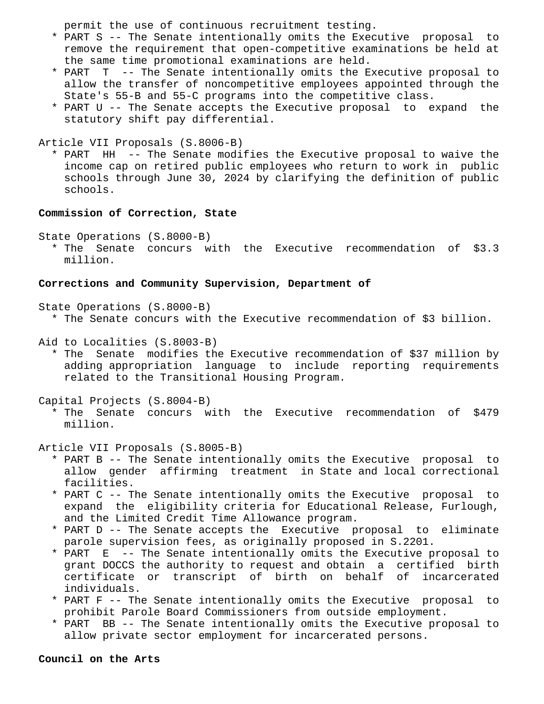permit the use of continuous recruitment testing.

- \* PART S -- The Senate intentionally omits the Executive proposal to remove the requirement that open-competitive examinations be held at the same time promotional examinations are held.
- \* PART T -- The Senate intentionally omits the Executive proposal to allow the transfer of noncompetitive employees appointed through the State's 55-B and 55-C programs into the competitive class.
- \* PART U -- The Senate accepts the Executive proposal to expand the statutory shift pay differential.

Article VII Proposals (S.8006-B)

 \* PART HH -- The Senate modifies the Executive proposal to waive the income cap on retired public employees who return to work in public schools through June 30, 2024 by clarifying the definition of public schools.

#### **Commission of Correction, State**

State Operations (S.8000-B)

 \* The Senate concurs with the Executive recommendation of \$3.3 million.

# **Corrections and Community Supervision, Department of**

State Operations (S.8000-B)

\* The Senate concurs with the Executive recommendation of \$3 billion.

Aid to Localities (S.8003-B)

 \* The Senate modifies the Executive recommendation of \$37 million by adding appropriation language to include reporting requirements related to the Transitional Housing Program.

Capital Projects (S.8004-B)

 \* The Senate concurs with the Executive recommendation of \$479 million.

Article VII Proposals (S.8005-B)

- \* PART B -- The Senate intentionally omits the Executive proposal to allow gender affirming treatment in State and local correctional facilities.
- \* PART C -- The Senate intentionally omits the Executive proposal to expand the eligibility criteria for Educational Release, Furlough, and the Limited Credit Time Allowance program.
- \* PART D -- The Senate accepts the Executive proposal to eliminate parole supervision fees, as originally proposed in S.2201.
- \* PART E -- The Senate intentionally omits the Executive proposal to grant DOCCS the authority to request and obtain a certified birth certificate or transcript of birth on behalf of incarcerated individuals.
- \* PART F -- The Senate intentionally omits the Executive proposal to prohibit Parole Board Commissioners from outside employment.
- \* PART BB -- The Senate intentionally omits the Executive proposal to allow private sector employment for incarcerated persons.

**Council on the Arts**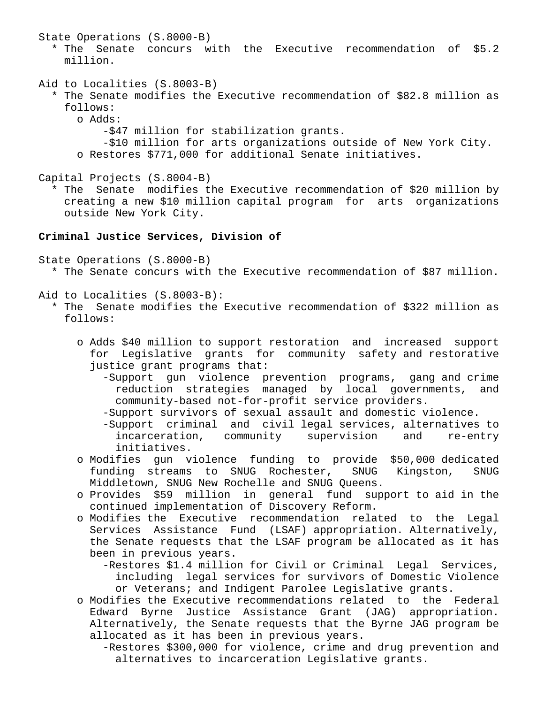State Operations (S.8000-B)

 \* The Senate concurs with the Executive recommendation of \$5.2 million.

Aid to Localities (S.8003-B)

- \* The Senate modifies the Executive recommendation of \$82.8 million as follows:
	- o Adds:

-\$47 million for stabilization grants.

 -\$10 million for arts organizations outside of New York City. o Restores \$771,000 for additional Senate initiatives.

Capital Projects (S.8004-B)

 \* The Senate modifies the Executive recommendation of \$20 million by creating a new \$10 million capital program for arts organizations outside New York City.

# **Criminal Justice Services, Division of**

State Operations (S.8000-B)

\* The Senate concurs with the Executive recommendation of \$87 million.

Aid to Localities (S.8003-B):

- \* The Senate modifies the Executive recommendation of \$322 million as follows:
	- o Adds \$40 million to support restoration and increased support for Legislative grants for community safety and restorative justice grant programs that:
		- -Support gun violence prevention programs, gang and crime reduction strategies managed by local governments, and community-based not-for-profit service providers.
		- -Support survivors of sexual assault and domestic violence.
		- -Support criminal and civil legal services, alternatives to incarceration, community supervision and re-entry initiatives.
	- o Modifies gun violence funding to provide \$50,000 dedicated funding streams to SNUG Rochester, SNUG Kingston, SNUG Middletown, SNUG New Rochelle and SNUG Queens.
	- o Provides \$59 million in general fund support to aid in the continued implementation of Discovery Reform.
	- o Modifies the Executive recommendation related to the Legal Services Assistance Fund (LSAF) appropriation. Alternatively, the Senate requests that the LSAF program be allocated as it has been in previous years.
		- -Restores \$1.4 million for Civil or Criminal Legal Services, including legal services for survivors of Domestic Violence or Veterans; and Indigent Parolee Legislative grants.
	- o Modifies the Executive recommendations related to the Federal Edward Byrne Justice Assistance Grant (JAG) appropriation. Alternatively, the Senate requests that the Byrne JAG program be allocated as it has been in previous years.
		- -Restores \$300,000 for violence, crime and drug prevention and alternatives to incarceration Legislative grants.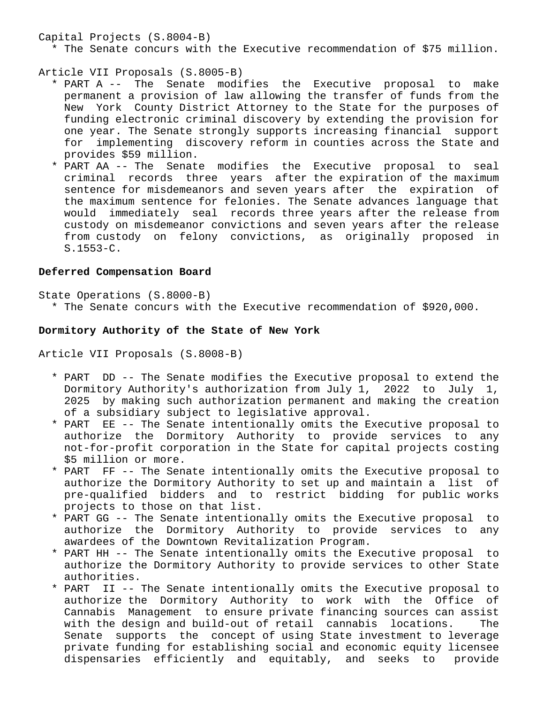Capital Projects (S.8004-B)

\* The Senate concurs with the Executive recommendation of \$75 million.

Article VII Proposals (S.8005-B)

- \* PART A -- The Senate modifies the Executive proposal to make permanent a provision of law allowing the transfer of funds from the New York County District Attorney to the State for the purposes of funding electronic criminal discovery by extending the provision for one year. The Senate strongly supports increasing financial support for implementing discovery reform in counties across the State and provides \$59 million.
- \* PART AA -- The Senate modifies the Executive proposal to seal criminal records three years after the expiration of the maximum sentence for misdemeanors and seven years after the expiration of the maximum sentence for felonies. The Senate advances language that would immediately seal records three years after the release from custody on misdemeanor convictions and seven years after the release from custody on felony convictions, as originally proposed in S.1553-C.

# **Deferred Compensation Board**

State Operations (S.8000-B)

\* The Senate concurs with the Executive recommendation of \$920,000.

# **Dormitory Authority of the State of New York**

Article VII Proposals (S.8008-B)

- \* PART DD -- The Senate modifies the Executive proposal to extend the Dormitory Authority's authorization from July 1, 2022 to July 1, 2025 by making such authorization permanent and making the creation of a subsidiary subject to legislative approval.
- \* PART EE -- The Senate intentionally omits the Executive proposal to authorize the Dormitory Authority to provide services to any not-for-profit corporation in the State for capital projects costing \$5 million or more.
- \* PART FF -- The Senate intentionally omits the Executive proposal to authorize the Dormitory Authority to set up and maintain a list of pre-qualified bidders and to restrict bidding for public works projects to those on that list.
- \* PART GG -- The Senate intentionally omits the Executive proposal to authorize the Dormitory Authority to provide services to any awardees of the Downtown Revitalization Program.
- \* PART HH -- The Senate intentionally omits the Executive proposal to authorize the Dormitory Authority to provide services to other State authorities.
- \* PART II -- The Senate intentionally omits the Executive proposal to authorize the Dormitory Authority to work with the Office of Cannabis Management to ensure private financing sources can assist with the design and build-out of retail cannabis locations. The Senate supports the concept of using State investment to leverage private funding for establishing social and economic equity licensee dispensaries efficiently and equitably, and seeks to provide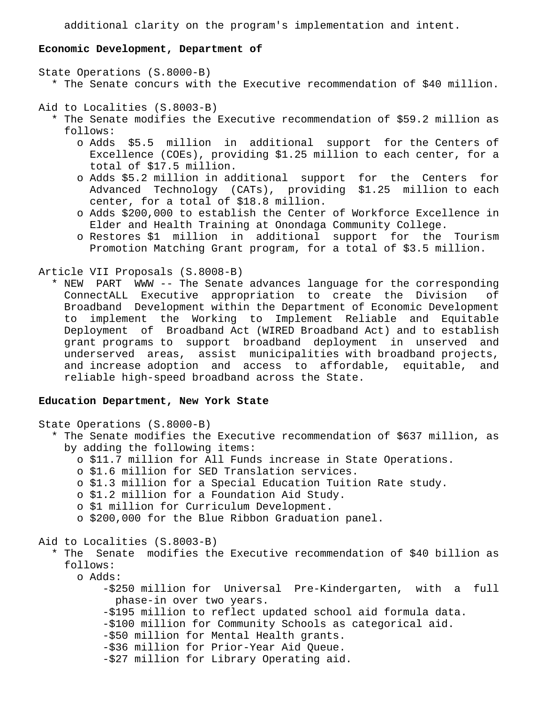additional clarity on the program's implementation and intent.

### **Economic Development, Department of**

```
State Operations (S.8000-B)
   * The Senate concurs with the Executive recommendation of $40 million.
```
Aid to Localities (S.8003-B)

- \* The Senate modifies the Executive recommendation of \$59.2 million as follows:
	- o Adds \$5.5 million in additional support for the Centers of Excellence (COEs), providing \$1.25 million to each center, for a total of \$17.5 million.
	- o Adds \$5.2 million in additional support for the Centers for Advanced Technology (CATs), providing \$1.25 million to each center, for a total of \$18.8 million.
	- o Adds \$200,000 to establish the Center of Workforce Excellence in Elder and Health Training at Onondaga Community College.
	- o Restores \$1 million in additional support for the Tourism Promotion Matching Grant program, for a total of \$3.5 million.

Article VII Proposals (S.8008-B)

 \* NEW PART WWW -- The Senate advances language for the corresponding ConnectALL Executive appropriation to create the Division of Broadband Development within the Department of Economic Development to implement the Working to Implement Reliable and Equitable Deployment of Broadband Act (WIRED Broadband Act) and to establish grant programs to support broadband deployment in unserved and underserved areas, assist municipalities with broadband projects, and increase adoption and access to affordable, equitable, and reliable high-speed broadband across the State.

# **Education Department, New York State**

```
State Operations (S.8000-B)
   * The Senate modifies the Executive recommendation of $637 million, as
     by adding the following items:
       o $11.7 million for All Funds increase in State Operations.
       o $1.6 million for SED Translation services.
       o $1.3 million for a Special Education Tuition Rate study.
       o $1.2 million for a Foundation Aid Study.
       o $1 million for Curriculum Development.
       o $200,000 for the Blue Ribbon Graduation panel.
Aid to Localities (S.8003-B)
   * The Senate modifies the Executive recommendation of $40 billion as
     follows:
       o Adds:
           -$250 million for Universal Pre-Kindergarten, with a full
             phase-in over two years.
           -$195 million to reflect updated school aid formula data.
           -$100 million for Community Schools as categorical aid.
           -$50 million for Mental Health grants.
           -$36 million for Prior-Year Aid Queue.
           -$27 million for Library Operating aid.
```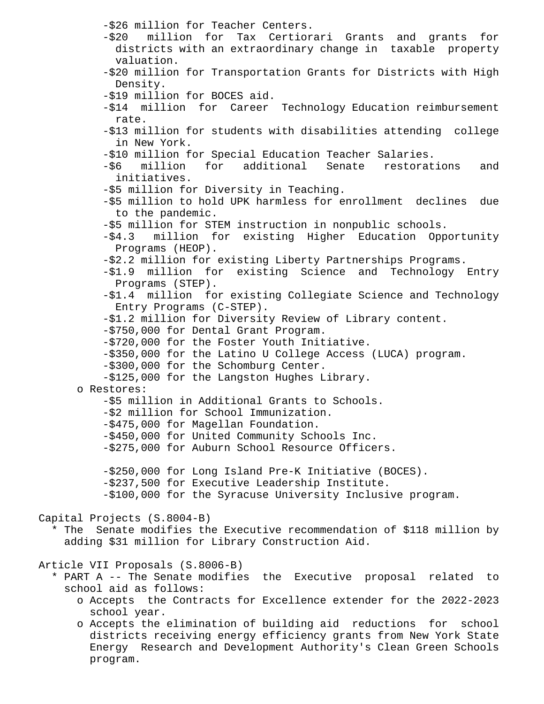```
 -$26 million for Teacher Centers.
           -$20 million for Tax Certiorari Grants and grants for
             districts with an extraordinary change in taxable property
             valuation.
           -$20 million for Transportation Grants for Districts with High
             Density.
           -$19 million for BOCES aid.
           -$14 million for Career Technology Education reimbursement
             rate.
           -$13 million for students with disabilities attending college
             in New York.
           -$10 million for Special Education Teacher Salaries.
           -$6 million for additional Senate restorations and
             initiatives.
           -$5 million for Diversity in Teaching.
           -$5 million to hold UPK harmless for enrollment declines due
             to the pandemic.
           -$5 million for STEM instruction in nonpublic schools.
           -$4.3 million for existing Higher Education Opportunity
             Programs (HEOP).
           -$2.2 million for existing Liberty Partnerships Programs.
           -$1.9 million for existing Science and Technology Entry
             Programs (STEP).
           -$1.4 million for existing Collegiate Science and Technology
             Entry Programs (C-STEP).
           -$1.2 million for Diversity Review of Library content.
           -$750,000 for Dental Grant Program.
           -$720,000 for the Foster Youth Initiative.
           -$350,000 for the Latino U College Access (LUCA) program.
           -$300,000 for the Schomburg Center.
           -$125,000 for the Langston Hughes Library.
       o Restores:
           -$5 million in Additional Grants to Schools.
           -$2 million for School Immunization.
           -$475,000 for Magellan Foundation.
           -$450,000 for United Community Schools Inc.
           -$275,000 for Auburn School Resource Officers.
           -$250,000 for Long Island Pre-K Initiative (BOCES).
           -$237,500 for Executive Leadership Institute.
           -$100,000 for the Syracuse University Inclusive program.
Capital Projects (S.8004-B)
   * The Senate modifies the Executive recommendation of $118 million by
     adding $31 million for Library Construction Aid.
Article VII Proposals (S.8006-B)
   * PART A -- The Senate modifies the Executive proposal related to
     school aid as follows:
       o Accepts the Contracts for Excellence extender for the 2022-2023
         school year.
       o Accepts the elimination of building aid reductions for school
         districts receiving energy efficiency grants from New York State
         Energy Research and Development Authority's Clean Green Schools
```
program.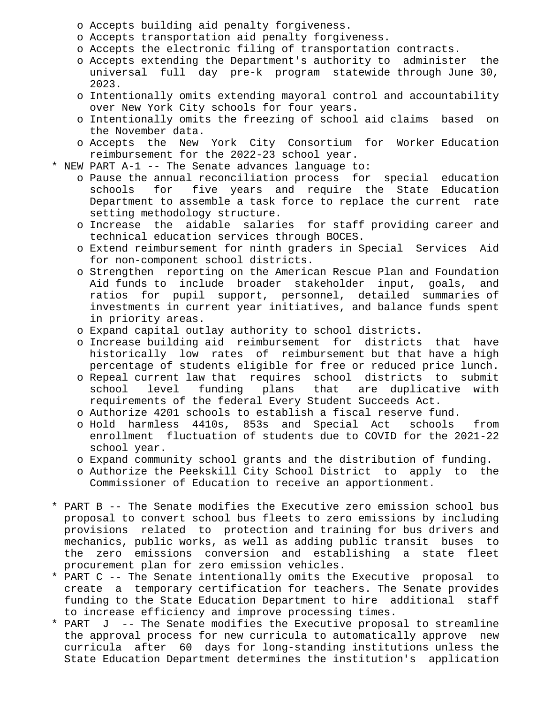- o Accepts building aid penalty forgiveness.
- o Accepts transportation aid penalty forgiveness.
- o Accepts the electronic filing of transportation contracts.
- o Accepts extending the Department's authority to administer the universal full day pre-k program statewide through June 30, 2023.
- o Intentionally omits extending mayoral control and accountability over New York City schools for four years.
- o Intentionally omits the freezing of school aid claims based on the November data.
- o Accepts the New York City Consortium for Worker Education reimbursement for the 2022-23 school year.
- \* NEW PART A-1 -- The Senate advances language to:
	- o Pause the annual reconciliation process for special education schools for five years and require the State Education Department to assemble a task force to replace the current rate setting methodology structure.
	- o Increase the aidable salaries for staff providing career and technical education services through BOCES.
	- o Extend reimbursement for ninth graders in Special Services Aid for non-component school districts.
	- o Strengthen reporting on the American Rescue Plan and Foundation Aid funds to include broader stakeholder input, goals, and ratios for pupil support, personnel, detailed summaries of investments in current year initiatives, and balance funds spent in priority areas.
	- o Expand capital outlay authority to school districts.
	- o Increase building aid reimbursement for districts that have historically low rates of reimbursement but that have a high percentage of students eligible for free or reduced price lunch.
	- o Repeal current law that requires school districts to submit school level funding plans that are duplicative with requirements of the federal Every Student Succeeds Act.
	- o Authorize 4201 schools to establish a fiscal reserve fund.
	- o Hold harmless 4410s, 853s and Special Act schools from enrollment fluctuation of students due to COVID for the 2021-22 school year.
	- o Expand community school grants and the distribution of funding.
	- o Authorize the Peekskill City School District to apply to the Commissioner of Education to receive an apportionment.
- \* PART B -- The Senate modifies the Executive zero emission school bus proposal to convert school bus fleets to zero emissions by including provisions related to protection and training for bus drivers and mechanics, public works, as well as adding public transit buses to the zero emissions conversion and establishing a state fleet procurement plan for zero emission vehicles.
- \* PART C -- The Senate intentionally omits the Executive proposal to create a temporary certification for teachers. The Senate provides funding to the State Education Department to hire additional staff to increase efficiency and improve processing times.
- \* PART J -- The Senate modifies the Executive proposal to streamline the approval process for new curricula to automatically approve new curricula after 60 days for long-standing institutions unless the State Education Department determines the institution's application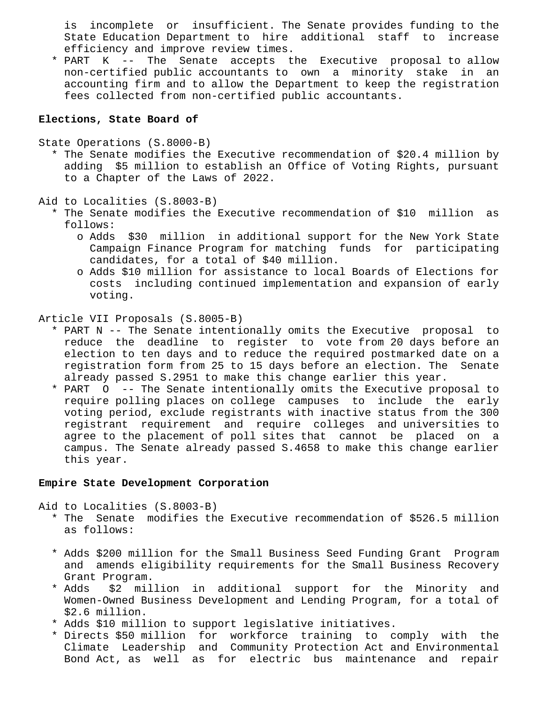is incomplete or insufficient. The Senate provides funding to the State Education Department to hire additional staff to increase efficiency and improve review times.

 \* PART K -- The Senate accepts the Executive proposal to allow non-certified public accountants to own a minority stake in an accounting firm and to allow the Department to keep the registration fees collected from non-certified public accountants.

## **Elections, State Board of**

State Operations (S.8000-B)

 \* The Senate modifies the Executive recommendation of \$20.4 million by adding \$5 million to establish an Office of Voting Rights, pursuant to a Chapter of the Laws of 2022.

Aid to Localities (S.8003-B)

- \* The Senate modifies the Executive recommendation of \$10 million as follows:
	- o Adds \$30 million in additional support for the New York State Campaign Finance Program for matching funds for participating candidates, for a total of \$40 million.
	- o Adds \$10 million for assistance to local Boards of Elections for costs including continued implementation and expansion of early voting.

Article VII Proposals (S.8005-B)

- \* PART N -- The Senate intentionally omits the Executive proposal to reduce the deadline to register to vote from 20 days before an election to ten days and to reduce the required postmarked date on a registration form from 25 to 15 days before an election. The Senate already passed S.2951 to make this change earlier this year.
- \* PART O -- The Senate intentionally omits the Executive proposal to require polling places on college campuses to include the early voting period, exclude registrants with inactive status from the 300 registrant requirement and require colleges and universities to agree to the placement of poll sites that cannot be placed on a campus. The Senate already passed S.4658 to make this change earlier this year.

# **Empire State Development Corporation**

Aid to Localities (S.8003-B)

- \* The Senate modifies the Executive recommendation of \$526.5 million as follows:
- \* Adds \$200 million for the Small Business Seed Funding Grant Program and amends eligibility requirements for the Small Business Recovery Grant Program.
- \* Adds \$2 million in additional support for the Minority and Women-Owned Business Development and Lending Program, for a total of \$2.6 million.
- \* Adds \$10 million to support legislative initiatives.
- \* Directs \$50 million for workforce training to comply with the Climate Leadership and Community Protection Act and Environmental Bond Act, as well as for electric bus maintenance and repair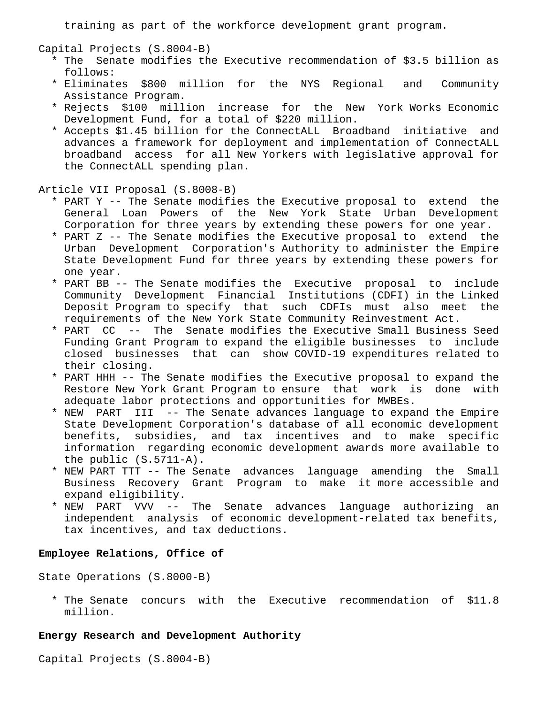training as part of the workforce development grant program.

Capital Projects (S.8004-B)

- \* The Senate modifies the Executive recommendation of \$3.5 billion as follows:
- \* Eliminates \$800 million for the NYS Regional and Community Assistance Program.
- \* Rejects \$100 million increase for the New York Works Economic Development Fund, for a total of \$220 million.
- \* Accepts \$1.45 billion for the ConnectALL Broadband initiative and advances a framework for deployment and implementation of ConnectALL broadband access for all New Yorkers with legislative approval for the ConnectALL spending plan.

#### Article VII Proposal (S.8008-B)

- \* PART Y -- The Senate modifies the Executive proposal to extend the General Loan Powers of the New York State Urban Development Corporation for three years by extending these powers for one year.
- \* PART Z -- The Senate modifies the Executive proposal to extend the Urban Development Corporation's Authority to administer the Empire State Development Fund for three years by extending these powers for one year.
- \* PART BB -- The Senate modifies the Executive proposal to include Community Development Financial Institutions (CDFI) in the Linked Deposit Program to specify that such CDFIs must also meet the requirements of the New York State Community Reinvestment Act.
- \* PART CC -- The Senate modifies the Executive Small Business Seed Funding Grant Program to expand the eligible businesses to include closed businesses that can show COVID-19 expenditures related to their closing.
- \* PART HHH -- The Senate modifies the Executive proposal to expand the Restore New York Grant Program to ensure that work is done with adequate labor protections and opportunities for MWBEs.
- \* NEW PART III -- The Senate advances language to expand the Empire State Development Corporation's database of all economic development benefits, subsidies, and tax incentives and to make specific information regarding economic development awards more available to the public (S.5711-A).
- \* NEW PART TTT -- The Senate advances language amending the Small Business Recovery Grant Program to make it more accessible and expand eligibility.
- \* NEW PART VVV -- The Senate advances language authorizing an independent analysis of economic development-related tax benefits, tax incentives, and tax deductions.

# **Employee Relations, Office of**

State Operations (S.8000-B)

 \* The Senate concurs with the Executive recommendation of \$11.8 million.

### **Energy Research and Development Authority**

Capital Projects (S.8004-B)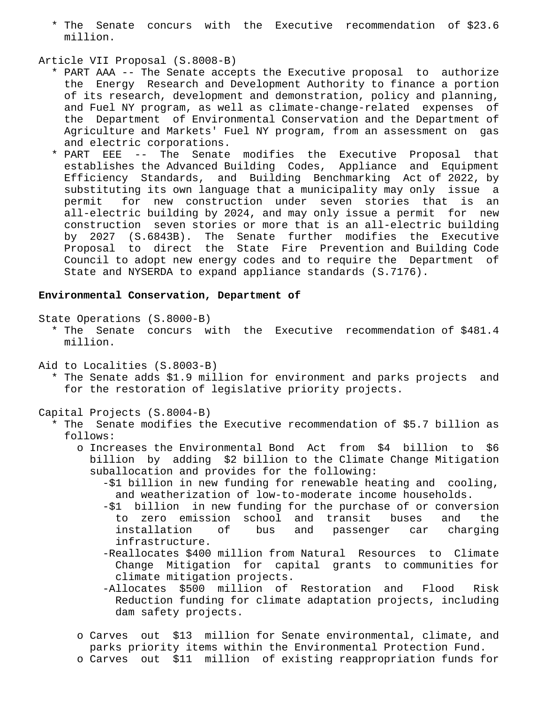\* The Senate concurs with the Executive recommendation of \$23.6 million.

### Article VII Proposal (S.8008-B)

- \* PART AAA -- The Senate accepts the Executive proposal to authorize the Energy Research and Development Authority to finance a portion of its research, development and demonstration, policy and planning, and Fuel NY program, as well as climate-change-related expenses of the Department of Environmental Conservation and the Department of Agriculture and Markets' Fuel NY program, from an assessment on gas and electric corporations.
- \* PART EEE -- The Senate modifies the Executive Proposal that establishes the Advanced Building Codes, Appliance and Equipment Efficiency Standards, and Building Benchmarking Act of 2022, by substituting its own language that a municipality may only issue a permit for new construction under seven stories that is an all-electric building by 2024, and may only issue a permit for new construction seven stories or more that is an all-electric building by 2027 (S.6843B). The Senate further modifies the Executive Proposal to direct the State Fire Prevention and Building Code Council to adopt new energy codes and to require the Department of State and NYSERDA to expand appliance standards (S.7176).

## **Environmental Conservation, Department of**

State Operations (S.8000-B)

- \* The Senate concurs with the Executive recommendation of \$481.4 million.
- Aid to Localities (S.8003-B)
	- \* The Senate adds \$1.9 million for environment and parks projects and for the restoration of legislative priority projects.

# Capital Projects (S.8004-B)

- \* The Senate modifies the Executive recommendation of \$5.7 billion as follows:
	- o Increases the Environmental Bond Act from \$4 billion to \$6 billion by adding \$2 billion to the Climate Change Mitigation suballocation and provides for the following:
		- -\$1 billion in new funding for renewable heating and cooling, and weatherization of low-to-moderate income households.
		- -\$1 billion in new funding for the purchase of or conversion to zero emission school and transit buses and the installation of bus and passenger car charging infrastructure.
		- -Reallocates \$400 million from Natural Resources to Climate Change Mitigation for capital grants to communities for climate mitigation projects.
		- -Allocates \$500 million of Restoration and Flood Risk Reduction funding for climate adaptation projects, including dam safety projects.
	- o Carves out \$13 million for Senate environmental, climate, and parks priority items within the Environmental Protection Fund.
	- o Carves out \$11 million of existing reappropriation funds for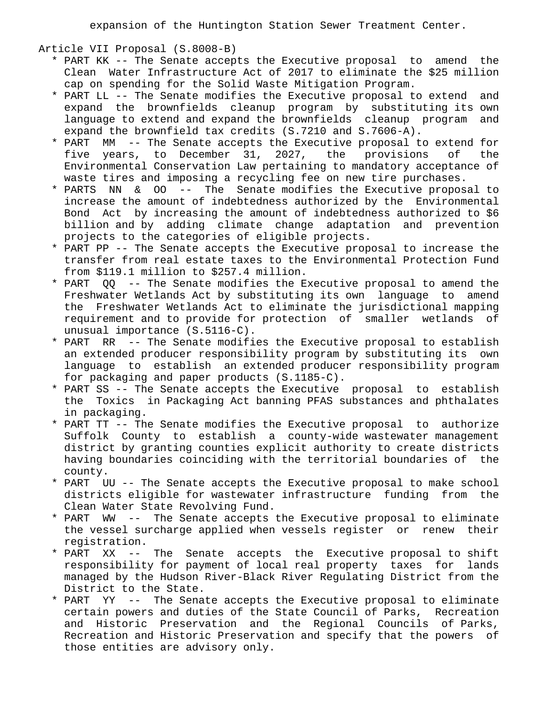expansion of the Huntington Station Sewer Treatment Center.

Article VII Proposal (S.8008-B)

- \* PART KK -- The Senate accepts the Executive proposal to amend the Clean Water Infrastructure Act of 2017 to eliminate the \$25 million cap on spending for the Solid Waste Mitigation Program.
- \* PART LL -- The Senate modifies the Executive proposal to extend and expand the brownfields cleanup program by substituting its own language to extend and expand the brownfields cleanup program and expand the brownfield tax credits (S.7210 and S.7606-A).
- \* PART MM -- The Senate accepts the Executive proposal to extend for five years, to December 31, 2027, the provisions of the Environmental Conservation Law pertaining to mandatory acceptance of waste tires and imposing a recycling fee on new tire purchases.
- \* PARTS NN & OO -- The Senate modifies the Executive proposal to increase the amount of indebtedness authorized by the Environmental Bond Act by increasing the amount of indebtedness authorized to \$6 billion and by adding climate change adaptation and prevention projects to the categories of eligible projects.
- \* PART PP -- The Senate accepts the Executive proposal to increase the transfer from real estate taxes to the Environmental Protection Fund from \$119.1 million to \$257.4 million.
- \* PART QQ -- The Senate modifies the Executive proposal to amend the Freshwater Wetlands Act by substituting its own language to amend the Freshwater Wetlands Act to eliminate the jurisdictional mapping requirement and to provide for protection of smaller wetlands of unusual importance (S.5116-C).
- \* PART RR -- The Senate modifies the Executive proposal to establish an extended producer responsibility program by substituting its own language to establish an extended producer responsibility program for packaging and paper products (S.1185-C).
- \* PART SS -- The Senate accepts the Executive proposal to establish the Toxics in Packaging Act banning PFAS substances and phthalates in packaging.
- \* PART TT -- The Senate modifies the Executive proposal to authorize Suffolk County to establish a county-wide wastewater management district by granting counties explicit authority to create districts having boundaries coinciding with the territorial boundaries of the county.
- \* PART UU -- The Senate accepts the Executive proposal to make school districts eligible for wastewater infrastructure funding from the Clean Water State Revolving Fund.
- \* PART WW -- The Senate accepts the Executive proposal to eliminate the vessel surcharge applied when vessels register or renew their registration.
- \* PART XX -- The Senate accepts the Executive proposal to shift responsibility for payment of local real property taxes for lands managed by the Hudson River-Black River Regulating District from the District to the State.
- \* PART YY -- The Senate accepts the Executive proposal to eliminate certain powers and duties of the State Council of Parks, Recreation and Historic Preservation and the Regional Councils of Parks, Recreation and Historic Preservation and specify that the powers of those entities are advisory only.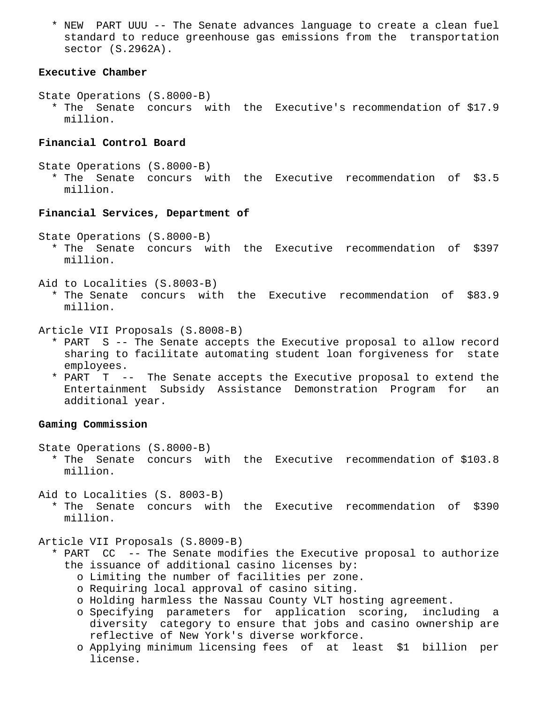\* NEW PART UUU -- The Senate advances language to create a clean fuel standard to reduce greenhouse gas emissions from the transportation sector (S.2962A).

# **Executive Chamber**

- State Operations (S.8000-B)
	- \* The Senate concurs with the Executive's recommendation of \$17.9 million.

# **Financial Control Board**

- State Operations (S.8000-B)
	- \* The Senate concurs with the Executive recommendation of \$3.5 million.

#### **Financial Services, Department of**

State Operations (S.8000-B)

- \* The Senate concurs with the Executive recommendation of \$397 million.
- Aid to Localities (S.8003-B)
	- \* The Senate concurs with the Executive recommendation of \$83.9 million.

Article VII Proposals (S.8008-B)

- \* PART S -- The Senate accepts the Executive proposal to allow record sharing to facilitate automating student loan forgiveness for state employees.
- \* PART T -- The Senate accepts the Executive proposal to extend the Entertainment Subsidy Assistance Demonstration Program for an additional year.

# **Gaming Commission**

State Operations (S.8000-B)

 \* The Senate concurs with the Executive recommendation of \$103.8 million.

Aid to Localities (S. 8003-B)

 \* The Senate concurs with the Executive recommendation of \$390 million.

Article VII Proposals (S.8009-B)

- \* PART CC -- The Senate modifies the Executive proposal to authorize the issuance of additional casino licenses by:
	- o Limiting the number of facilities per zone.
	- o Requiring local approval of casino siting.
	- o Holding harmless the Nassau County VLT hosting agreement.
	- o Specifying parameters for application scoring, including a diversity category to ensure that jobs and casino ownership are reflective of New York's diverse workforce.
	- o Applying minimum licensing fees of at least \$1 billion per license.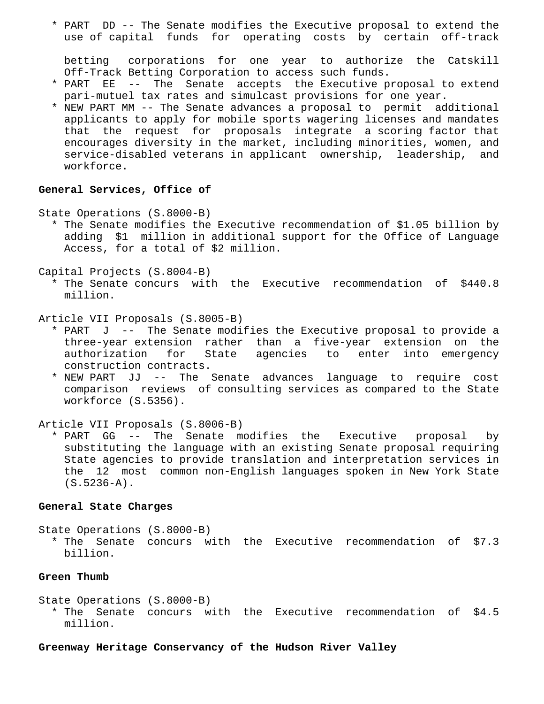\* PART DD -- The Senate modifies the Executive proposal to extend the use of capital funds for operating costs by certain off-track

 betting corporations for one year to authorize the Catskill Off-Track Betting Corporation to access such funds.

- \* PART EE -- The Senate accepts the Executive proposal to extend pari-mutuel tax rates and simulcast provisions for one year.
- \* NEW PART MM -- The Senate advances a proposal to permit additional applicants to apply for mobile sports wagering licenses and mandates that the request for proposals integrate a scoring factor that encourages diversity in the market, including minorities, women, and service-disabled veterans in applicant ownership, leadership, and workforce.

# **General Services, Office of**

State Operations (S.8000-B)

 \* The Senate modifies the Executive recommendation of \$1.05 billion by adding \$1 million in additional support for the Office of Language Access, for a total of \$2 million.

Capital Projects (S.8004-B)

 \* The Senate concurs with the Executive recommendation of \$440.8 million.

Article VII Proposals (S.8005-B)

- \* PART J -- The Senate modifies the Executive proposal to provide a three-year extension rather than a five-year extension on the authorization for State agencies to enter into emergency construction contracts.
- \* NEW PART JJ -- The Senate advances language to require cost comparison reviews of consulting services as compared to the State workforce (S.5356).

Article VII Proposals (S.8006-B)

 \* PART GG -- The Senate modifies the Executive proposal by substituting the language with an existing Senate proposal requiring State agencies to provide translation and interpretation services in the 12 most common non-English languages spoken in New York State (S.5236-A).

#### **General State Charges**

State Operations (S.8000-B) \* The Senate concurs with the Executive recommendation of \$7.3 billion.

# **Green Thumb**

State Operations (S.8000-B) \* The Senate concurs with the Executive recommendation of \$4.5 million.

**Greenway Heritage Conservancy of the Hudson River Valley**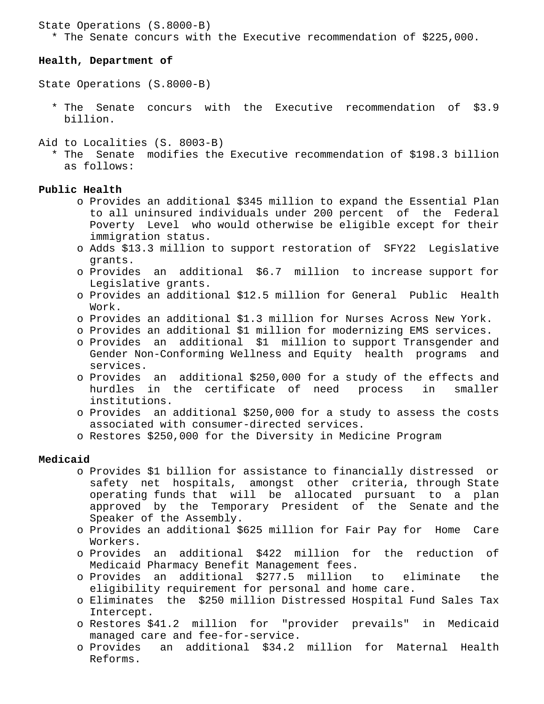### State Operations (S.8000-B)

\* The Senate concurs with the Executive recommendation of \$225,000.

### **Health, Department of**

State Operations (S.8000-B)

- \* The Senate concurs with the Executive recommendation of \$3.9 billion.
- Aid to Localities (S. 8003-B)
	- \* The Senate modifies the Executive recommendation of \$198.3 billion as follows:

# **Public Health**

- o Provides an additional \$345 million to expand the Essential Plan to all uninsured individuals under 200 percent of the Federal Poverty Level who would otherwise be eligible except for their immigration status.
- o Adds \$13.3 million to support restoration of SFY22 Legislative grants.
- o Provides an additional \$6.7 million to increase support for Legislative grants.
- o Provides an additional \$12.5 million for General Public Health Work.
- o Provides an additional \$1.3 million for Nurses Across New York.
- o Provides an additional \$1 million for modernizing EMS services.
- o Provides an additional \$1 million to support Transgender and Gender Non-Conforming Wellness and Equity health programs and services.
- o Provides an additional \$250,000 for a study of the effects and hurdles in the certificate of need process in smaller institutions.
- o Provides an additional \$250,000 for a study to assess the costs associated with consumer-directed services.
- o Restores \$250,000 for the Diversity in Medicine Program

# **Medicaid**

- o Provides \$1 billion for assistance to financially distressed or safety net hospitals, amongst other criteria, through State operating funds that will be allocated pursuant to a plan approved by the Temporary President of the Senate and the Speaker of the Assembly.
- o Provides an additional \$625 million for Fair Pay for Home Care Workers.
- o Provides an additional \$422 million for the reduction of Medicaid Pharmacy Benefit Management fees.
- o Provides an additional \$277.5 million to eliminate the eligibility requirement for personal and home care.
- o Eliminates the \$250 million Distressed Hospital Fund Sales Tax Intercept.
- o Restores \$41.2 million for "provider prevails" in Medicaid managed care and fee-for-service.
- o Provides an additional \$34.2 million for Maternal Health Reforms.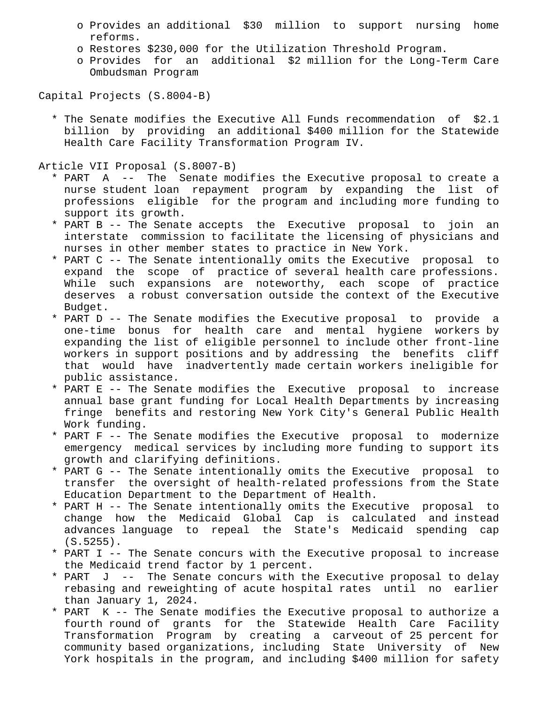- o Provides an additional \$30 million to support nursing home reforms.
- o Restores \$230,000 for the Utilization Threshold Program.
- o Provides for an additional \$2 million for the Long-Term Care Ombudsman Program

Capital Projects (S.8004-B)

 \* The Senate modifies the Executive All Funds recommendation of \$2.1 billion by providing an additional \$400 million for the Statewide Health Care Facility Transformation Program IV.

Article VII Proposal (S.8007-B)

- \* PART A -- The Senate modifies the Executive proposal to create a nurse student loan repayment program by expanding the list of professions eligible for the program and including more funding to support its growth.
- \* PART B -- The Senate accepts the Executive proposal to join an interstate commission to facilitate the licensing of physicians and nurses in other member states to practice in New York.
- \* PART C -- The Senate intentionally omits the Executive proposal to expand the scope of practice of several health care professions. While such expansions are noteworthy, each scope of practice deserves a robust conversation outside the context of the Executive Budget.
- \* PART D -- The Senate modifies the Executive proposal to provide a one-time bonus for health care and mental hygiene workers by expanding the list of eligible personnel to include other front-line workers in support positions and by addressing the benefits cliff that would have inadvertently made certain workers ineligible for public assistance.
- \* PART E -- The Senate modifies the Executive proposal to increase annual base grant funding for Local Health Departments by increasing fringe benefits and restoring New York City's General Public Health Work funding.
- \* PART F -- The Senate modifies the Executive proposal to modernize emergency medical services by including more funding to support its growth and clarifying definitions.
- \* PART G -- The Senate intentionally omits the Executive proposal to transfer the oversight of health-related professions from the State Education Department to the Department of Health.
- \* PART H -- The Senate intentionally omits the Executive proposal to change how the Medicaid Global Cap is calculated and instead advances language to repeal the State's Medicaid spending cap  $(S.5255)$ .
- \* PART I -- The Senate concurs with the Executive proposal to increase the Medicaid trend factor by 1 percent.
- \* PART J -- The Senate concurs with the Executive proposal to delay rebasing and reweighting of acute hospital rates until no earlier than January 1, 2024.
- \* PART K -- The Senate modifies the Executive proposal to authorize a fourth round of grants for the Statewide Health Care Facility Transformation Program by creating a carveout of 25 percent for community based organizations, including State University of New York hospitals in the program, and including \$400 million for safety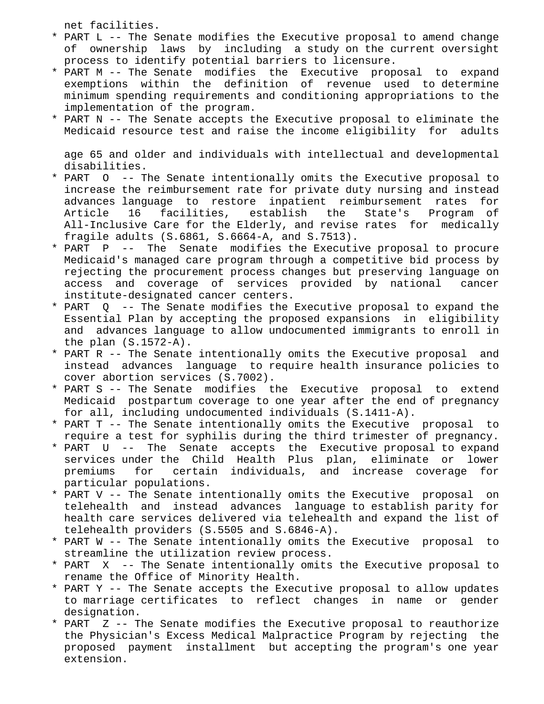net facilities.

- \* PART L -- The Senate modifies the Executive proposal to amend change of ownership laws by including a study on the current oversight process to identify potential barriers to licensure.
- \* PART M -- The Senate modifies the Executive proposal to expand exemptions within the definition of revenue used to determine minimum spending requirements and conditioning appropriations to the implementation of the program.
- \* PART N -- The Senate accepts the Executive proposal to eliminate the Medicaid resource test and raise the income eligibility for adults

 age 65 and older and individuals with intellectual and developmental disabilities.

- \* PART O -- The Senate intentionally omits the Executive proposal to increase the reimbursement rate for private duty nursing and instead advances language to restore inpatient reimbursement rates for Article 16 facilities, establish the State's Program of All-Inclusive Care for the Elderly, and revise rates for medically fragile adults (S.6861, S.6664-A, and S.7513).
- \* PART P -- The Senate modifies the Executive proposal to procure Medicaid's managed care program through a competitive bid process by rejecting the procurement process changes but preserving language on access and coverage of services provided by national cancer institute-designated cancer centers.
- \* PART Q -- The Senate modifies the Executive proposal to expand the Essential Plan by accepting the proposed expansions in eligibility and advances language to allow undocumented immigrants to enroll in the plan (S.1572-A).
- \* PART R -- The Senate intentionally omits the Executive proposal and instead advances language to require health insurance policies to cover abortion services (S.7002).
- \* PART S -- The Senate modifies the Executive proposal to extend Medicaid postpartum coverage to one year after the end of pregnancy for all, including undocumented individuals (S.1411-A).
- \* PART T -- The Senate intentionally omits the Executive proposal to require a test for syphilis during the third trimester of pregnancy.
- \* PART U -- The Senate accepts the Executive proposal to expand services under the Child Health Plus plan, eliminate or lower premiums for certain individuals, and increase coverage for particular populations.
- \* PART V -- The Senate intentionally omits the Executive proposal on telehealth and instead advances language to establish parity for health care services delivered via telehealth and expand the list of telehealth providers (S.5505 and S.6846-A).
- \* PART W -- The Senate intentionally omits the Executive proposal to streamline the utilization review process.
- \* PART X -- The Senate intentionally omits the Executive proposal to rename the Office of Minority Health.
- \* PART Y -- The Senate accepts the Executive proposal to allow updates to marriage certificates to reflect changes in name or gender designation.
- \* PART Z -- The Senate modifies the Executive proposal to reauthorize the Physician's Excess Medical Malpractice Program by rejecting the proposed payment installment but accepting the program's one year extension.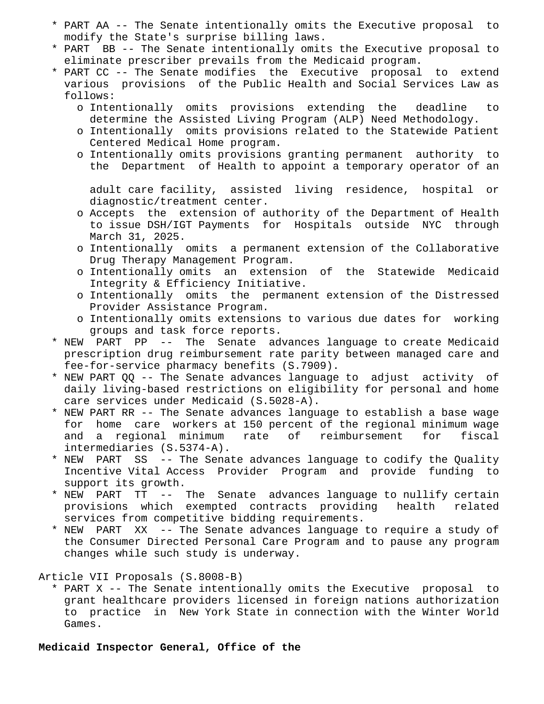- \* PART AA -- The Senate intentionally omits the Executive proposal to modify the State's surprise billing laws.
- \* PART BB -- The Senate intentionally omits the Executive proposal to eliminate prescriber prevails from the Medicaid program.
- \* PART CC -- The Senate modifies the Executive proposal to extend various provisions of the Public Health and Social Services Law as follows:
	- o Intentionally omits provisions extending the deadline to determine the Assisted Living Program (ALP) Need Methodology.
	- o Intentionally omits provisions related to the Statewide Patient Centered Medical Home program.
	- o Intentionally omits provisions granting permanent authority to the Department of Health to appoint a temporary operator of an

 adult care facility, assisted living residence, hospital or diagnostic/treatment center.

- o Accepts the extension of authority of the Department of Health to issue DSH/IGT Payments for Hospitals outside NYC through March 31, 2025.
- o Intentionally omits a permanent extension of the Collaborative Drug Therapy Management Program.
- o Intentionally omits an extension of the Statewide Medicaid Integrity & Efficiency Initiative.
- o Intentionally omits the permanent extension of the Distressed Provider Assistance Program.
- o Intentionally omits extensions to various due dates for working groups and task force reports.
- \* NEW PART PP -- The Senate advances language to create Medicaid prescription drug reimbursement rate parity between managed care and fee-for-service pharmacy benefits (S.7909).
- \* NEW PART QQ -- The Senate advances language to adjust activity of daily living-based restrictions on eligibility for personal and home care services under Medicaid (S.5028-A).
- \* NEW PART RR -- The Senate advances language to establish a base wage for home care workers at 150 percent of the regional minimum wage and a regional minimum rate of reimbursement for fiscal intermediaries (S.5374-A).
- \* NEW PART SS -- The Senate advances language to codify the Quality Incentive Vital Access Provider Program and provide funding to support its growth.
- \* NEW PART TT -- The Senate advances language to nullify certain provisions which exempted contracts providing health related services from competitive bidding requirements.
- \* NEW PART XX -- The Senate advances language to require a study of the Consumer Directed Personal Care Program and to pause any program changes while such study is underway.

Article VII Proposals (S.8008-B)

 \* PART X -- The Senate intentionally omits the Executive proposal to grant healthcare providers licensed in foreign nations authorization to practice in New York State in connection with the Winter World Games.

**Medicaid Inspector General, Office of the**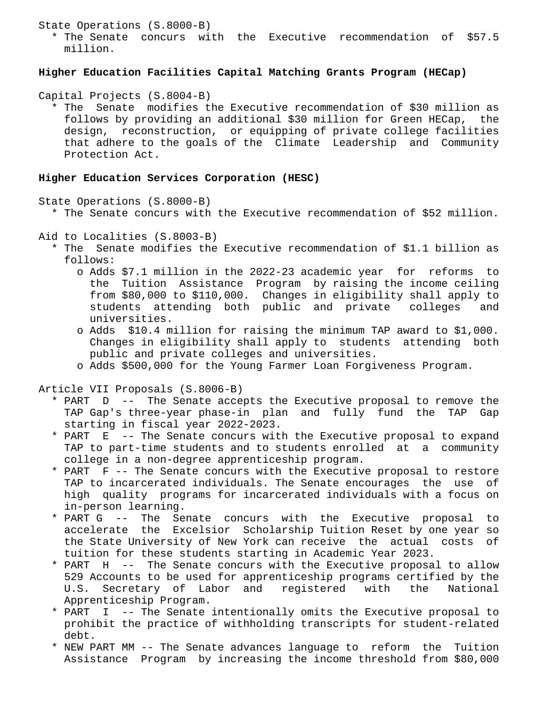State Operations (S.8000-B)

 \* The Senate concurs with the Executive recommendation of \$57.5 million.

# **Higher Education Facilities Capital Matching Grants Program (HECap)**

Capital Projects (S.8004-B)

 \* The Senate modifies the Executive recommendation of \$30 million as follows by providing an additional \$30 million for Green HECap, the design, reconstruction, or equipping of private college facilities that adhere to the goals of the Climate Leadership and Community Protection Act.

# **Higher Education Services Corporation (HESC)**

State Operations (S.8000-B)

- \* The Senate concurs with the Executive recommendation of \$52 million.
- Aid to Localities (S.8003-B)
	- \* The Senate modifies the Executive recommendation of \$1.1 billion as follows:
		- o Adds \$7.1 million in the 2022-23 academic year for reforms to the Tuition Assistance Program by raising the income ceiling from \$80,000 to \$110,000. Changes in eligibility shall apply to students attending both public and private colleges and universities.
		- o Adds \$10.4 million for raising the minimum TAP award to \$1,000. Changes in eligibility shall apply to students attending both public and private colleges and universities.
		- o Adds \$500,000 for the Young Farmer Loan Forgiveness Program.

Article VII Proposals (S.8006-B)

- \* PART D -- The Senate accepts the Executive proposal to remove the TAP Gap's three-year phase-in plan and fully fund the TAP Gap starting in fiscal year 2022-2023.
- \* PART E -- The Senate concurs with the Executive proposal to expand TAP to part-time students and to students enrolled at a community college in a non-degree apprenticeship program.
- \* PART F -- The Senate concurs with the Executive proposal to restore TAP to incarcerated individuals. The Senate encourages the use of high quality programs for incarcerated individuals with a focus on in-person learning.
- \* PART G -- The Senate concurs with the Executive proposal to accelerate the Excelsior Scholarship Tuition Reset by one year so the State University of New York can receive the actual costs of tuition for these students starting in Academic Year 2023.
- \* PART H -- The Senate concurs with the Executive proposal to allow 529 Accounts to be used for apprenticeship programs certified by the U.S. Secretary of Labor and registered with the National Apprenticeship Program.
- \* PART I -- The Senate intentionally omits the Executive proposal to prohibit the practice of withholding transcripts for student-related debt.
- \* NEW PART MM -- The Senate advances language to reform the Tuition Assistance Program by increasing the income threshold from \$80,000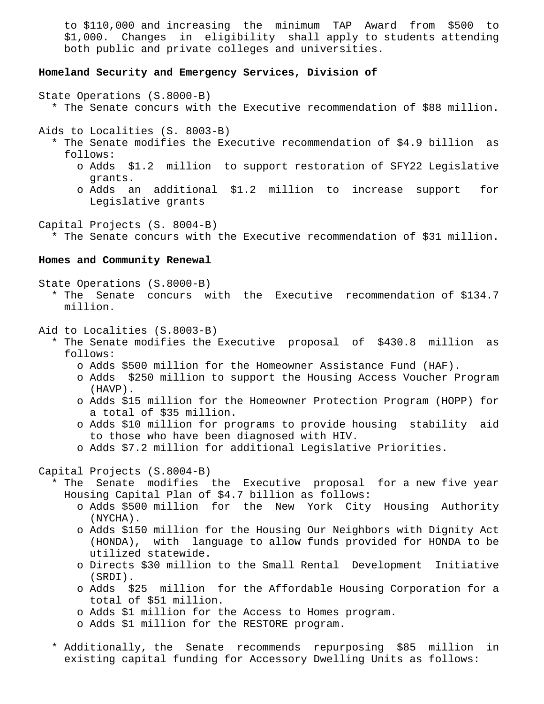to \$110,000 and increasing the minimum TAP Award from \$500 to \$1,000. Changes in eligibility shall apply to students attending both public and private colleges and universities.

# **Homeland Security and Emergency Services, Division of**

State Operations (S.8000-B)

\* The Senate concurs with the Executive recommendation of \$88 million.

Aids to Localities (S. 8003-B)

- \* The Senate modifies the Executive recommendation of \$4.9 billion as follows:
	- o Adds \$1.2 million to support restoration of SFY22 Legislative grants.
	- o Adds an additional \$1.2 million to increase support for Legislative grants

Capital Projects (S. 8004-B)

\* The Senate concurs with the Executive recommendation of \$31 million.

# **Homes and Community Renewal**

State Operations (S.8000-B)

 \* The Senate concurs with the Executive recommendation of \$134.7 million.

Aid to Localities (S.8003-B)

- \* The Senate modifies the Executive proposal of \$430.8 million as follows:
	- o Adds \$500 million for the Homeowner Assistance Fund (HAF).
	- o Adds \$250 million to support the Housing Access Voucher Program (HAVP).
	- o Adds \$15 million for the Homeowner Protection Program (HOPP) for a total of \$35 million.
	- o Adds \$10 million for programs to provide housing stability aid to those who have been diagnosed with HIV.
	- o Adds \$7.2 million for additional Legislative Priorities.

Capital Projects (S.8004-B)

 \* The Senate modifies the Executive proposal for a new five year Housing Capital Plan of \$4.7 billion as follows:

- o Adds \$500 million for the New York City Housing Authority (NYCHA).
- o Adds \$150 million for the Housing Our Neighbors with Dignity Act (HONDA), with language to allow funds provided for HONDA to be utilized statewide.
- o Directs \$30 million to the Small Rental Development Initiative (SRDI).
- o Adds \$25 million for the Affordable Housing Corporation for a total of \$51 million.
- o Adds \$1 million for the Access to Homes program.
- o Adds \$1 million for the RESTORE program.
- \* Additionally, the Senate recommends repurposing \$85 million in existing capital funding for Accessory Dwelling Units as follows: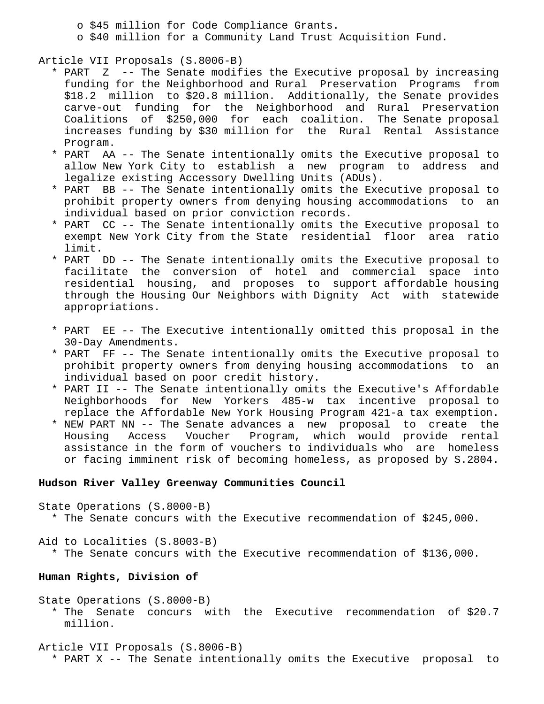o \$45 million for Code Compliance Grants. o \$40 million for a Community Land Trust Acquisition Fund.

Article VII Proposals (S.8006-B)

- \* PART Z -- The Senate modifies the Executive proposal by increasing funding for the Neighborhood and Rural Preservation Programs from \$18.2 million to \$20.8 million. Additionally, the Senate provides carve-out funding for the Neighborhood and Rural Preservation Coalitions of \$250,000 for each coalition. The Senate proposal increases funding by \$30 million for the Rural Rental Assistance Program.
- \* PART AA -- The Senate intentionally omits the Executive proposal to allow New York City to establish a new program to address and legalize existing Accessory Dwelling Units (ADUs).
- \* PART BB -- The Senate intentionally omits the Executive proposal to prohibit property owners from denying housing accommodations to an individual based on prior conviction records.
- \* PART CC -- The Senate intentionally omits the Executive proposal to exempt New York City from the State residential floor area ratio limit.
- \* PART DD -- The Senate intentionally omits the Executive proposal to facilitate the conversion of hotel and commercial space into residential housing, and proposes to support affordable housing through the Housing Our Neighbors with Dignity Act with statewide appropriations.
- \* PART EE -- The Executive intentionally omitted this proposal in the 30-Day Amendments.
- \* PART FF -- The Senate intentionally omits the Executive proposal to prohibit property owners from denying housing accommodations to an individual based on poor credit history.
- \* PART II -- The Senate intentionally omits the Executive's Affordable Neighborhoods for New Yorkers 485-w tax incentive proposal to replace the Affordable New York Housing Program 421-a tax exemption.
- \* NEW PART NN -- The Senate advances a new proposal to create the Housing Access Voucher Program, which would provide rental assistance in the form of vouchers to individuals who are homeless or facing imminent risk of becoming homeless, as proposed by S.2804.

## **Hudson River Valley Greenway Communities Council**

State Operations (S.8000-B)

\* The Senate concurs with the Executive recommendation of \$245,000.

Aid to Localities (S.8003-B) \* The Senate concurs with the Executive recommendation of \$136,000.

# **Human Rights, Division of**

- State Operations (S.8000-B) \* The Senate concurs with the Executive recommendation of \$20.7 million.
- Article VII Proposals (S.8006-B) \* PART X -- The Senate intentionally omits the Executive proposal to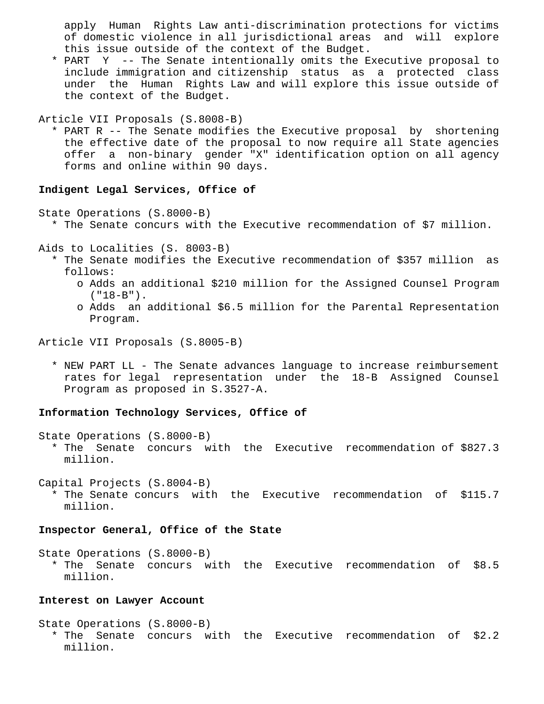apply Human Rights Law anti-discrimination protections for victims of domestic violence in all jurisdictional areas and will explore this issue outside of the context of the Budget.

 \* PART Y -- The Senate intentionally omits the Executive proposal to include immigration and citizenship status as a protected class under the Human Rights Law and will explore this issue outside of the context of the Budget.

```
Article VII Proposals (S.8008-B)
```
 \* PART R -- The Senate modifies the Executive proposal by shortening the effective date of the proposal to now require all State agencies offer a non-binary gender "X" identification option on all agency forms and online within 90 days.

# **Indigent Legal Services, Office of**

State Operations (S.8000-B)

\* The Senate concurs with the Executive recommendation of \$7 million.

Aids to Localities (S. 8003-B)

- \* The Senate modifies the Executive recommendation of \$357 million as follows:
	- o Adds an additional \$210 million for the Assigned Counsel Program  $( "18-B" )$ .
	- o Adds an additional \$6.5 million for the Parental Representation Program.

Article VII Proposals (S.8005-B)

 \* NEW PART LL - The Senate advances language to increase reimbursement rates for legal representation under the 18-B Assigned Counsel Program as proposed in S.3527-A.

# **Information Technology Services, Office of**

State Operations (S.8000-B)

 \* The Senate concurs with the Executive recommendation of \$827.3 million.

Capital Projects (S.8004-B)

 \* The Senate concurs with the Executive recommendation of \$115.7 million.

### **Inspector General, Office of the State**

State Operations (S.8000-B)

 \* The Senate concurs with the Executive recommendation of \$8.5 million.

# **Interest on Lawyer Account**

State Operations (S.8000-B) \* The Senate concurs with the Executive recommendation of \$2.2 million.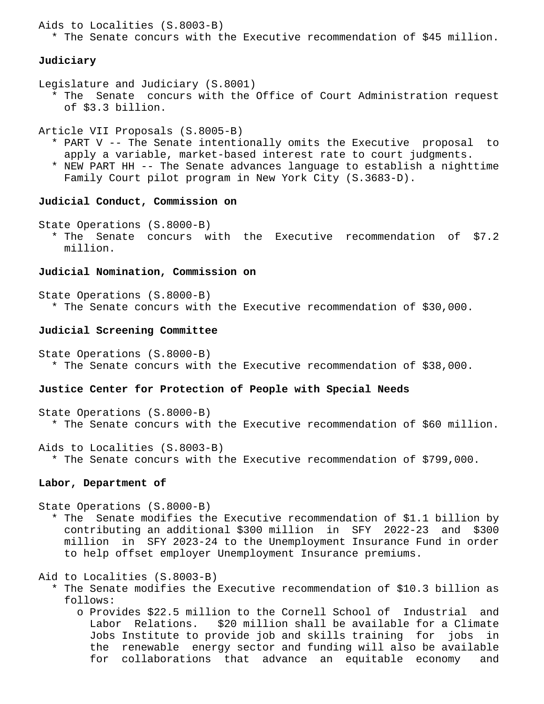```
Aids to Localities (S.8003-B)
```
\* The Senate concurs with the Executive recommendation of \$45 million.

# **Judiciary**

Legislature and Judiciary (S.8001)

 \* The Senate concurs with the Office of Court Administration request of \$3.3 billion.

Article VII Proposals (S.8005-B)

- \* PART V -- The Senate intentionally omits the Executive proposal to apply a variable, market-based interest rate to court judgments.
- \* NEW PART HH -- The Senate advances language to establish a nighttime Family Court pilot program in New York City (S.3683-D).

# **Judicial Conduct, Commission on**

State Operations (S.8000-B)

 \* The Senate concurs with the Executive recommendation of \$7.2 million.

# **Judicial Nomination, Commission on**

State Operations (S.8000-B) \* The Senate concurs with the Executive recommendation of \$30,000.

## **Judicial Screening Committee**

State Operations (S.8000-B) \* The Senate concurs with the Executive recommendation of \$38,000.

# **Justice Center for Protection of People with Special Needs**

State Operations (S.8000-B) \* The Senate concurs with the Executive recommendation of \$60 million.

Aids to Localities (S.8003-B)

\* The Senate concurs with the Executive recommendation of \$799,000.

# **Labor, Department of**

State Operations (S.8000-B)

- \* The Senate modifies the Executive recommendation of \$1.1 billion by contributing an additional \$300 million in SFY 2022-23 and \$300 million in SFY 2023-24 to the Unemployment Insurance Fund in order to help offset employer Unemployment Insurance premiums.
- Aid to Localities (S.8003-B)
	- \* The Senate modifies the Executive recommendation of \$10.3 billion as follows:
		- o Provides \$22.5 million to the Cornell School of Industrial and Labor Relations. \$20 million shall be available for a Climate Jobs Institute to provide job and skills training for jobs in the renewable energy sector and funding will also be available for collaborations that advance an equitable economy and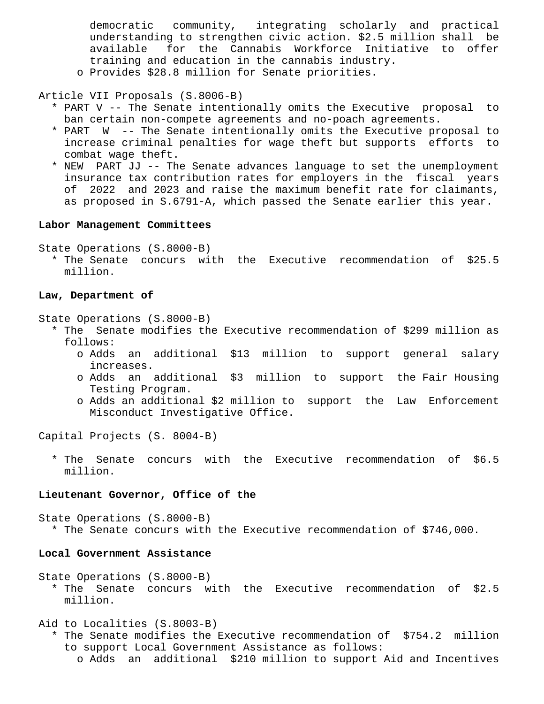democratic community, integrating scholarly and practical understanding to strengthen civic action. \$2.5 million shall be available for the Cannabis Workforce Initiative to offer training and education in the cannabis industry. o Provides \$28.8 million for Senate priorities.

Article VII Proposals (S.8006-B)

- \* PART V -- The Senate intentionally omits the Executive proposal to ban certain non-compete agreements and no-poach agreements.
- \* PART W -- The Senate intentionally omits the Executive proposal to increase criminal penalties for wage theft but supports efforts to combat wage theft.
- \* NEW PART JJ -- The Senate advances language to set the unemployment insurance tax contribution rates for employers in the fiscal years of 2022 and 2023 and raise the maximum benefit rate for claimants, as proposed in S.6791-A, which passed the Senate earlier this year.

## **Labor Management Committees**

State Operations (S.8000-B)

 \* The Senate concurs with the Executive recommendation of \$25.5 million.

#### **Law, Department of**

State Operations (S.8000-B)

- \* The Senate modifies the Executive recommendation of \$299 million as follows:
	- o Adds an additional \$13 million to support general salary increases.
	- o Adds an additional \$3 million to support the Fair Housing Testing Program.
	- o Adds an additional \$2 million to support the Law Enforcement Misconduct Investigative Office.

Capital Projects (S. 8004-B)

 \* The Senate concurs with the Executive recommendation of \$6.5 million.

#### **Lieutenant Governor, Office of the**

State Operations (S.8000-B) \* The Senate concurs with the Executive recommendation of \$746,000.

#### **Local Government Assistance**

State Operations (S.8000-B)

 \* The Senate concurs with the Executive recommendation of \$2.5 million.

Aid to Localities (S.8003-B)

- \* The Senate modifies the Executive recommendation of \$754.2 million to support Local Government Assistance as follows:
	- o Adds an additional \$210 million to support Aid and Incentives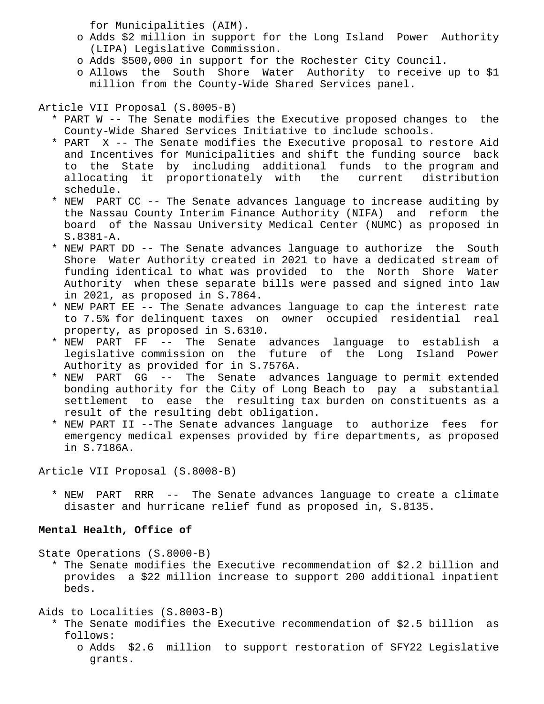for Municipalities (AIM).

- o Adds \$2 million in support for the Long Island Power Authority (LIPA) Legislative Commission.
- o Adds \$500,000 in support for the Rochester City Council.
- o Allows the South Shore Water Authority to receive up to \$1 million from the County-Wide Shared Services panel.

Article VII Proposal (S.8005-B)

- \* PART W -- The Senate modifies the Executive proposed changes to the County-Wide Shared Services Initiative to include schools.
- \* PART X -- The Senate modifies the Executive proposal to restore Aid and Incentives for Municipalities and shift the funding source back to the State by including additional funds to the program and allocating it proportionately with the current distribution schedule.
- \* NEW PART CC -- The Senate advances language to increase auditing by the Nassau County Interim Finance Authority (NIFA) and reform the board of the Nassau University Medical Center (NUMC) as proposed in S.8381-A.
- \* NEW PART DD -- The Senate advances language to authorize the South Shore Water Authority created in 2021 to have a dedicated stream of funding identical to what was provided to the North Shore Water Authority when these separate bills were passed and signed into law in 2021, as proposed in S.7864.
- \* NEW PART EE -- The Senate advances language to cap the interest rate to 7.5% for delinquent taxes on owner occupied residential real property, as proposed in S.6310.
- \* NEW PART FF -- The Senate advances language to establish a legislative commission on the future of the Long Island Power Authority as provided for in S.7576A.
- \* NEW PART GG -- The Senate advances language to permit extended bonding authority for the City of Long Beach to pay a substantial settlement to ease the resulting tax burden on constituents as a result of the resulting debt obligation.
- \* NEW PART II --The Senate advances language to authorize fees for emergency medical expenses provided by fire departments, as proposed in S.7186A.

Article VII Proposal (S.8008-B)

 \* NEW PART RRR -- The Senate advances language to create a climate disaster and hurricane relief fund as proposed in, S.8135.

# **Mental Health, Office of**

State Operations (S.8000-B)

 \* The Senate modifies the Executive recommendation of \$2.2 billion and provides a \$22 million increase to support 200 additional inpatient beds.

Aids to Localities (S.8003-B)

- \* The Senate modifies the Executive recommendation of \$2.5 billion as follows:
	- o Adds \$2.6 million to support restoration of SFY22 Legislative grants.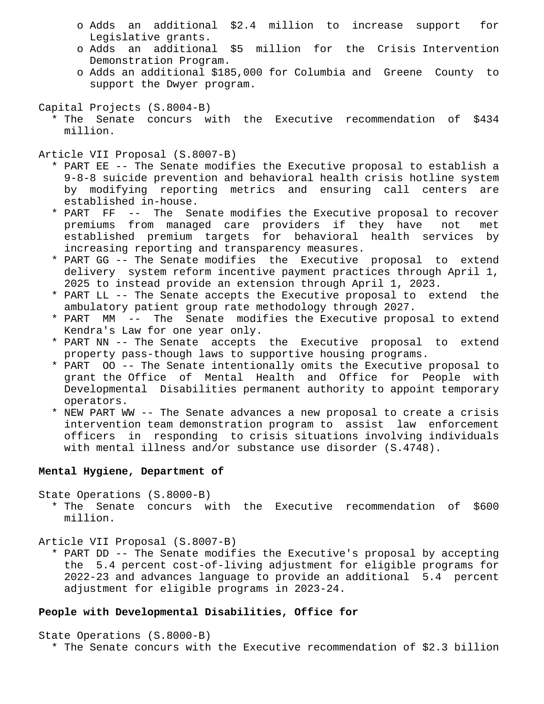- o Adds an additional \$2.4 million to increase support for Legislative grants.
- o Adds an additional \$5 million for the Crisis Intervention Demonstration Program.
- o Adds an additional \$185,000 for Columbia and Greene County to support the Dwyer program.

Capital Projects (S.8004-B)

 \* The Senate concurs with the Executive recommendation of \$434 million.

Article VII Proposal (S.8007-B)

- \* PART EE -- The Senate modifies the Executive proposal to establish a 9-8-8 suicide prevention and behavioral health crisis hotline system by modifying reporting metrics and ensuring call centers are established in-house.
- \* PART FF -- The Senate modifies the Executive proposal to recover premiums from managed care providers if they have not met established premium targets for behavioral health services by increasing reporting and transparency measures.
- \* PART GG -- The Senate modifies the Executive proposal to extend delivery system reform incentive payment practices through April 1, 2025 to instead provide an extension through April 1, 2023.
- \* PART LL -- The Senate accepts the Executive proposal to extend the ambulatory patient group rate methodology through 2027.
- \* PART MM -- The Senate modifies the Executive proposal to extend Kendra's Law for one year only.
- \* PART NN -- The Senate accepts the Executive proposal to extend property pass-though laws to supportive housing programs.
- \* PART OO -- The Senate intentionally omits the Executive proposal to grant the Office of Mental Health and Office for People with Developmental Disabilities permanent authority to appoint temporary operators.
- \* NEW PART WW -- The Senate advances a new proposal to create a crisis intervention team demonstration program to assist law enforcement officers in responding to crisis situations involving individuals with mental illness and/or substance use disorder (S.4748).

# **Mental Hygiene, Department of**

State Operations (S.8000-B)

 \* The Senate concurs with the Executive recommendation of \$600 million.

Article VII Proposal (S.8007-B)

 \* PART DD -- The Senate modifies the Executive's proposal by accepting the 5.4 percent cost-of-living adjustment for eligible programs for 2022-23 and advances language to provide an additional 5.4 percent adjustment for eligible programs in 2023-24.

# **People with Developmental Disabilities, Office for**

State Operations (S.8000-B) \* The Senate concurs with the Executive recommendation of \$2.3 billion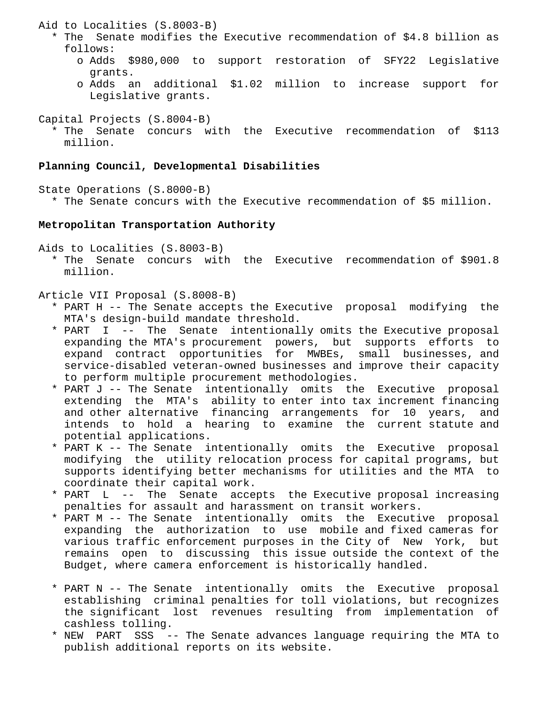Aid to Localities (S.8003-B)

- \* The Senate modifies the Executive recommendation of \$4.8 billion as follows:
	- o Adds \$980,000 to support restoration of SFY22 Legislative grants.
	- o Adds an additional \$1.02 million to increase support for Legislative grants.

Capital Projects (S.8004-B) \* The Senate concurs with the Executive recommendation of \$113 million.

# **Planning Council, Developmental Disabilities**

State Operations (S.8000-B) \* The Senate concurs with the Executive recommendation of \$5 million.

# **Metropolitan Transportation Authority**

Aids to Localities (S.8003-B)

 \* The Senate concurs with the Executive recommendation of \$901.8 million.

# Article VII Proposal (S.8008-B)

- \* PART H -- The Senate accepts the Executive proposal modifying the MTA's design-build mandate threshold.
- \* PART I -- The Senate intentionally omits the Executive proposal expanding the MTA's procurement powers, but supports efforts to expand contract opportunities for MWBEs, small businesses, and service-disabled veteran-owned businesses and improve their capacity to perform multiple procurement methodologies.
- \* PART J -- The Senate intentionally omits the Executive proposal extending the MTA's ability to enter into tax increment financing and other alternative financing arrangements for 10 years, and intends to hold a hearing to examine the current statute and potential applications.
- \* PART K -- The Senate intentionally omits the Executive proposal modifying the utility relocation process for capital programs, but supports identifying better mechanisms for utilities and the MTA to coordinate their capital work.
- \* PART L -- The Senate accepts the Executive proposal increasing penalties for assault and harassment on transit workers.
- \* PART M -- The Senate intentionally omits the Executive proposal expanding the authorization to use mobile and fixed cameras for various traffic enforcement purposes in the City of New York, but remains open to discussing this issue outside the context of the Budget, where camera enforcement is historically handled.
- \* PART N -- The Senate intentionally omits the Executive proposal establishing criminal penalties for toll violations, but recognizes the significant lost revenues resulting from implementation of cashless tolling.
- \* NEW PART SSS -- The Senate advances language requiring the MTA to publish additional reports on its website.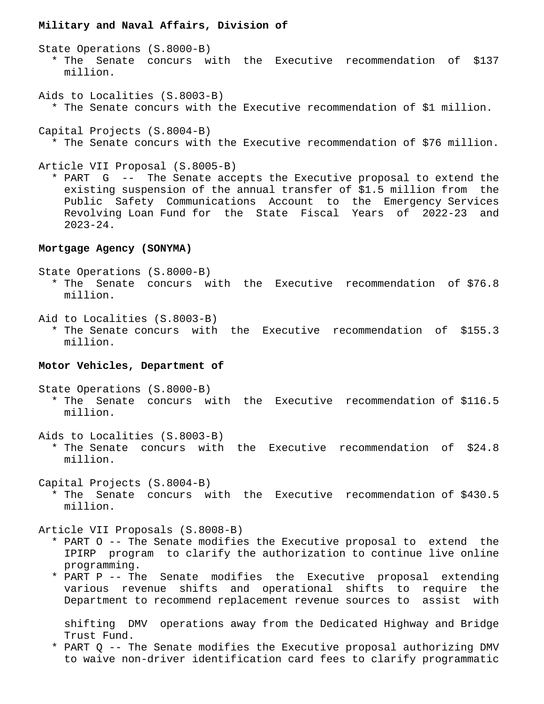### **Military and Naval Affairs, Division of**

State Operations (S.8000-B) \* The Senate concurs with the Executive recommendation of \$137 million.

- Aids to Localities (S.8003-B) \* The Senate concurs with the Executive recommendation of \$1 million.
- Capital Projects (S.8004-B) \* The Senate concurs with the Executive recommendation of \$76 million.

### Article VII Proposal (S.8005-B)

 \* PART G -- The Senate accepts the Executive proposal to extend the existing suspension of the annual transfer of \$1.5 million from the Public Safety Communications Account to the Emergency Services Revolving Loan Fund for the State Fiscal Years of 2022-23 and 2023-24.

# **Mortgage Agency (SONYMA)**

State Operations (S.8000-B)

- \* The Senate concurs with the Executive recommendation of \$76.8 million.
- Aid to Localities (S.8003-B)
	- \* The Senate concurs with the Executive recommendation of \$155.3 million.

### **Motor Vehicles, Department of**

State Operations (S.8000-B)

 \* The Senate concurs with the Executive recommendation of \$116.5 million.

Aids to Localities (S.8003-B)

 \* The Senate concurs with the Executive recommendation of \$24.8 million.

Capital Projects (S.8004-B) \* The Senate concurs with the Executive recommendation of \$430.5 million.

Article VII Proposals (S.8008-B)

- \* PART O -- The Senate modifies the Executive proposal to extend the IPIRP program to clarify the authorization to continue live online programming.
- \* PART P -- The Senate modifies the Executive proposal extending various revenue shifts and operational shifts to require the Department to recommend replacement revenue sources to assist with

 shifting DMV operations away from the Dedicated Highway and Bridge Trust Fund.

 \* PART Q -- The Senate modifies the Executive proposal authorizing DMV to waive non-driver identification card fees to clarify programmatic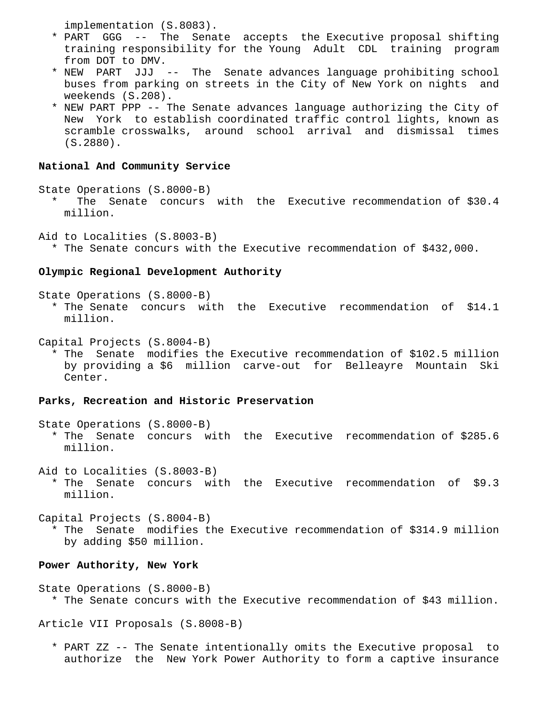implementation (S.8083).

- \* PART GGG -- The Senate accepts the Executive proposal shifting training responsibility for the Young Adult CDL training program from DOT to DMV.
- \* NEW PART JJJ -- The Senate advances language prohibiting school buses from parking on streets in the City of New York on nights and weekends (S.208).
- \* NEW PART PPP -- The Senate advances language authorizing the City of New York to establish coordinated traffic control lights, known as scramble crosswalks, around school arrival and dismissal times (S.2880).

#### **National And Community Service**

State Operations (S.8000-B) \* The Senate concurs with the Executive recommendation of \$30.4 million.

Aid to Localities (S.8003-B) \* The Senate concurs with the Executive recommendation of \$432,000.

#### **Olympic Regional Development Authority**

State Operations (S.8000-B)

 \* The Senate concurs with the Executive recommendation of \$14.1 million.

Capital Projects (S.8004-B)

 \* The Senate modifies the Executive recommendation of \$102.5 million by providing a \$6 million carve-out for Belleayre Mountain Ski Center.

## **Parks, Recreation and Historic Preservation**

- State Operations (S.8000-B) \* The Senate concurs with the Executive recommendation of \$285.6 million.
- Aid to Localities (S.8003-B) \* The Senate concurs with the Executive recommendation of \$9.3 million.

Capital Projects (S.8004-B)

 \* The Senate modifies the Executive recommendation of \$314.9 million by adding \$50 million.

#### **Power Authority, New York**

State Operations (S.8000-B) \* The Senate concurs with the Executive recommendation of \$43 million.

Article VII Proposals (S.8008-B)

 \* PART ZZ -- The Senate intentionally omits the Executive proposal to authorize the New York Power Authority to form a captive insurance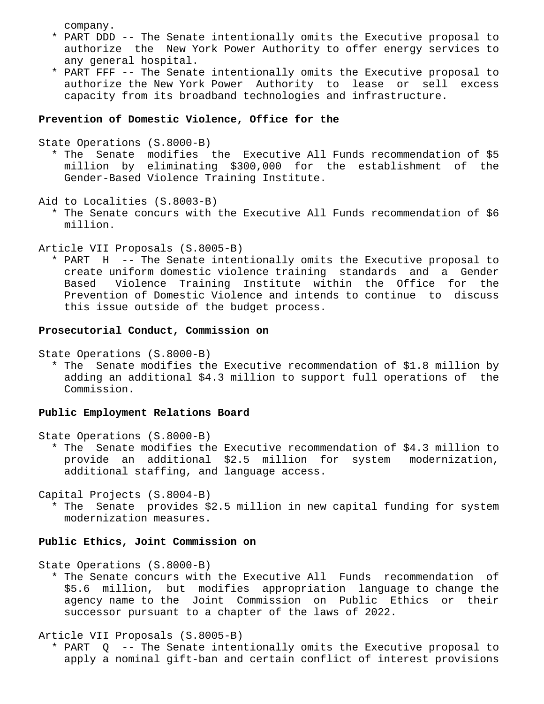company.

- \* PART DDD -- The Senate intentionally omits the Executive proposal to authorize the New York Power Authority to offer energy services to any general hospital.
- \* PART FFF -- The Senate intentionally omits the Executive proposal to authorize the New York Power Authority to lease or sell excess capacity from its broadband technologies and infrastructure.

# **Prevention of Domestic Violence, Office for the**

State Operations (S.8000-B)

 \* The Senate modifies the Executive All Funds recommendation of \$5 million by eliminating \$300,000 for the establishment of the Gender-Based Violence Training Institute.

Aid to Localities (S.8003-B)

 \* The Senate concurs with the Executive All Funds recommendation of \$6 million.

Article VII Proposals (S.8005-B)

 \* PART H -- The Senate intentionally omits the Executive proposal to create uniform domestic violence training standards and a Gender Based Violence Training Institute within the Office for the Prevention of Domestic Violence and intends to continue to discuss this issue outside of the budget process.

# **Prosecutorial Conduct, Commission on**

State Operations (S.8000-B)

 \* The Senate modifies the Executive recommendation of \$1.8 million by adding an additional \$4.3 million to support full operations of the Commission.

### **Public Employment Relations Board**

State Operations (S.8000-B)

 \* The Senate modifies the Executive recommendation of \$4.3 million to provide an additional \$2.5 million for system modernization, additional staffing, and language access.

Capital Projects (S.8004-B)

 \* The Senate provides \$2.5 million in new capital funding for system modernization measures.

# **Public Ethics, Joint Commission on**

State Operations (S.8000-B)

 \* The Senate concurs with the Executive All Funds recommendation of \$5.6 million, but modifies appropriation language to change the agency name to the Joint Commission on Public Ethics or their successor pursuant to a chapter of the laws of 2022.

Article VII Proposals (S.8005-B)

 \* PART Q -- The Senate intentionally omits the Executive proposal to apply a nominal gift-ban and certain conflict of interest provisions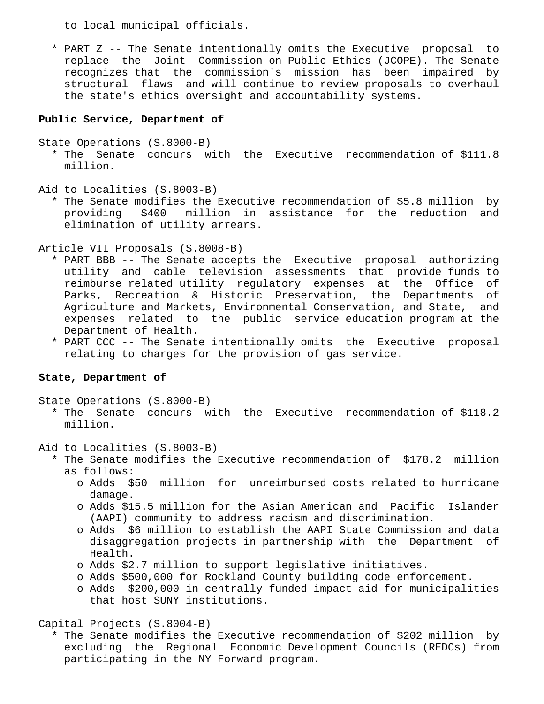to local municipal officials.

 \* PART Z -- The Senate intentionally omits the Executive proposal to replace the Joint Commission on Public Ethics (JCOPE). The Senate recognizes that the commission's mission has been impaired by structural flaws and will continue to review proposals to overhaul the state's ethics oversight and accountability systems.

### **Public Service, Department of**

State Operations (S.8000-B)

- \* The Senate concurs with the Executive recommendation of \$111.8 million.
- Aid to Localities (S.8003-B)
	- \* The Senate modifies the Executive recommendation of \$5.8 million by providing \$400 million in assistance for the reduction and elimination of utility arrears.

Article VII Proposals (S.8008-B)

- \* PART BBB -- The Senate accepts the Executive proposal authorizing utility and cable television assessments that provide funds to reimburse related utility regulatory expenses at the Office of Parks, Recreation & Historic Preservation, the Departments of Agriculture and Markets, Environmental Conservation, and State, and expenses related to the public service education program at the Department of Health.
- \* PART CCC -- The Senate intentionally omits the Executive proposal relating to charges for the provision of gas service.

### **State, Department of**

State Operations (S.8000-B)

 \* The Senate concurs with the Executive recommendation of \$118.2 million.

Aid to Localities (S.8003-B)

- \* The Senate modifies the Executive recommendation of \$178.2 million as follows:
	- o Adds \$50 million for unreimbursed costs related to hurricane damage.
	- o Adds \$15.5 million for the Asian American and Pacific Islander (AAPI) community to address racism and discrimination.
	- o Adds \$6 million to establish the AAPI State Commission and data disaggregation projects in partnership with the Department of Health.
	- o Adds \$2.7 million to support legislative initiatives.
	- o Adds \$500,000 for Rockland County building code enforcement.
	- o Adds \$200,000 in centrally-funded impact aid for municipalities that host SUNY institutions.

Capital Projects (S.8004-B)

 \* The Senate modifies the Executive recommendation of \$202 million by excluding the Regional Economic Development Councils (REDCs) from participating in the NY Forward program.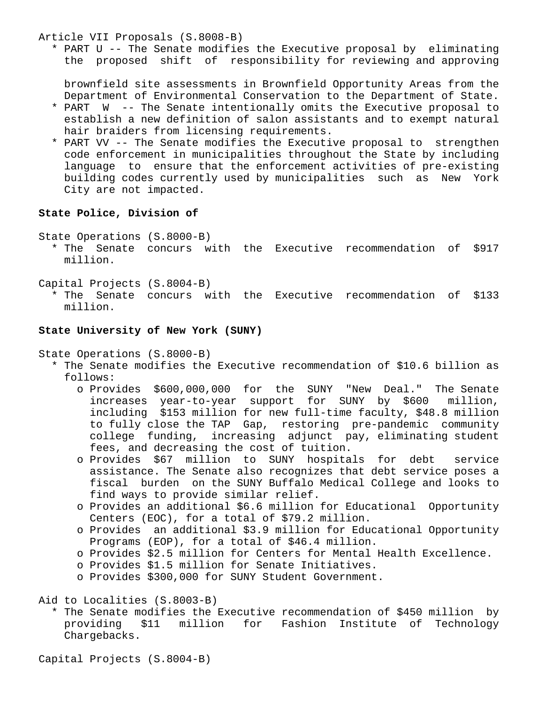Article VII Proposals (S.8008-B)

 \* PART U -- The Senate modifies the Executive proposal by eliminating the proposed shift of responsibility for reviewing and approving

 brownfield site assessments in Brownfield Opportunity Areas from the Department of Environmental Conservation to the Department of State.

- \* PART W -- The Senate intentionally omits the Executive proposal to establish a new definition of salon assistants and to exempt natural hair braiders from licensing requirements.
- \* PART VV -- The Senate modifies the Executive proposal to strengthen code enforcement in municipalities throughout the State by including language to ensure that the enforcement activities of pre-existing building codes currently used by municipalities such as New York City are not impacted.

# **State Police, Division of**

State Operations (S.8000-B)

 \* The Senate concurs with the Executive recommendation of \$917 million.

Capital Projects (S.8004-B)

 \* The Senate concurs with the Executive recommendation of \$133 million.

### **State University of New York (SUNY)**

State Operations (S.8000-B)

- \* The Senate modifies the Executive recommendation of \$10.6 billion as follows:
	- o Provides \$600,000,000 for the SUNY "New Deal." The Senate increases year-to-year support for SUNY by \$600 million, including \$153 million for new full-time faculty, \$48.8 million to fully close the TAP Gap, restoring pre-pandemic community college funding, increasing adjunct pay, eliminating student fees, and decreasing the cost of tuition.
	- o Provides \$67 million to SUNY hospitals for debt service assistance. The Senate also recognizes that debt service poses a fiscal burden on the SUNY Buffalo Medical College and looks to find ways to provide similar relief.
	- o Provides an additional \$6.6 million for Educational Opportunity Centers (EOC), for a total of \$79.2 million.
	- o Provides an additional \$3.9 million for Educational Opportunity Programs (EOP), for a total of \$46.4 million.
	- o Provides \$2.5 million for Centers for Mental Health Excellence.
	- o Provides \$1.5 million for Senate Initiatives.
	- o Provides \$300,000 for SUNY Student Government.

Aid to Localities (S.8003-B)

 \* The Senate modifies the Executive recommendation of \$450 million by providing \$11 million for Fashion Institute of Technology Chargebacks.

Capital Projects (S.8004-B)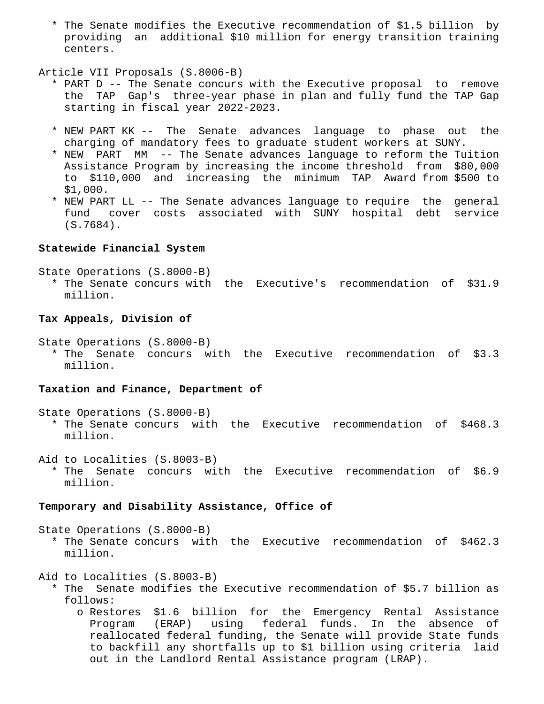\* The Senate modifies the Executive recommendation of \$1.5 billion by providing an additional \$10 million for energy transition training centers.

### Article VII Proposals (S.8006-B)

- \* PART D -- The Senate concurs with the Executive proposal to remove the TAP Gap's three-year phase in plan and fully fund the TAP Gap starting in fiscal year 2022-2023.
- \* NEW PART KK -- The Senate advances language to phase out the charging of mandatory fees to graduate student workers at SUNY.
- \* NEW PART MM -- The Senate advances language to reform the Tuition Assistance Program by increasing the income threshold from \$80,000 to \$110,000 and increasing the minimum TAP Award from \$500 to \$1,000.
- \* NEW PART LL -- The Senate advances language to require the general fund cover costs associated with SUNY hospital debt service (S.7684).

# **Statewide Financial System**

State Operations (S.8000-B)

 \* The Senate concurs with the Executive's recommendation of \$31.9 million.

## **Tax Appeals, Division of**

State Operations (S.8000-B)

 \* The Senate concurs with the Executive recommendation of \$3.3 million.

#### **Taxation and Finance, Department of**

State Operations (S.8000-B)

 \* The Senate concurs with the Executive recommendation of \$468.3 million.

Aid to Localities (S.8003-B)

 \* The Senate concurs with the Executive recommendation of \$6.9 million.

#### **Temporary and Disability Assistance, Office of**

State Operations (S.8000-B)

 \* The Senate concurs with the Executive recommendation of \$462.3 million.

Aid to Localities (S.8003-B)

- \* The Senate modifies the Executive recommendation of \$5.7 billion as follows:
	- o Restores \$1.6 billion for the Emergency Rental Assistance Program (ERAP) using federal funds. In the absence of reallocated federal funding, the Senate will provide State funds to backfill any shortfalls up to \$1 billion using criteria laid out in the Landlord Rental Assistance program (LRAP).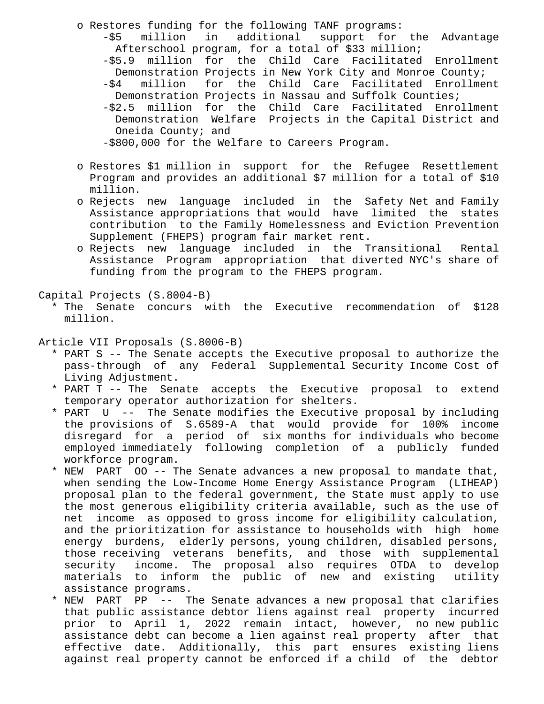- o Restores funding for the following TANF programs: -\$5 million in additional support for the Advantage Afterschool program, for a total of \$33 million; -\$5.9 million for the Child Care Facilitated Enrollment Demonstration Projects in New York City and Monroe County; -\$4 million for the Child Care Facilitated Enrollment Demonstration Projects in Nassau and Suffolk Counties; -\$2.5 million for the Child Care Facilitated Enrollment Demonstration Welfare Projects in the Capital District and Oneida County; and -\$800,000 for the Welfare to Careers Program.
- o Restores \$1 million in support for the Refugee Resettlement Program and provides an additional \$7 million for a total of \$10 million.
- o Rejects new language included in the Safety Net and Family Assistance appropriations that would have limited the states contribution to the Family Homelessness and Eviction Prevention Supplement (FHEPS) program fair market rent.
- o Rejects new language included in the Transitional Rental Assistance Program appropriation that diverted NYC's share of funding from the program to the FHEPS program.

Capital Projects (S.8004-B)

 \* The Senate concurs with the Executive recommendation of \$128 million.

Article VII Proposals (S.8006-B)

- \* PART S -- The Senate accepts the Executive proposal to authorize the pass-through of any Federal Supplemental Security Income Cost of Living Adjustment.
- \* PART T -- The Senate accepts the Executive proposal to extend temporary operator authorization for shelters.
- \* PART U -- The Senate modifies the Executive proposal by including the provisions of S.6589-A that would provide for 100% income disregard for a period of six months for individuals who become employed immediately following completion of a publicly funded workforce program.
- \* NEW PART OO -- The Senate advances a new proposal to mandate that, when sending the Low-Income Home Energy Assistance Program (LIHEAP) proposal plan to the federal government, the State must apply to use the most generous eligibility criteria available, such as the use of net income as opposed to gross income for eligibility calculation, and the prioritization for assistance to households with high home energy burdens, elderly persons, young children, disabled persons, those receiving veterans benefits, and those with supplemental security income. The proposal also requires OTDA to develop materials to inform the public of new and existing utility assistance programs.
- \* NEW PART PP -- The Senate advances a new proposal that clarifies that public assistance debtor liens against real property incurred prior to April 1, 2022 remain intact, however, no new public assistance debt can become a lien against real property after that effective date. Additionally, this part ensures existing liens against real property cannot be enforced if a child of the debtor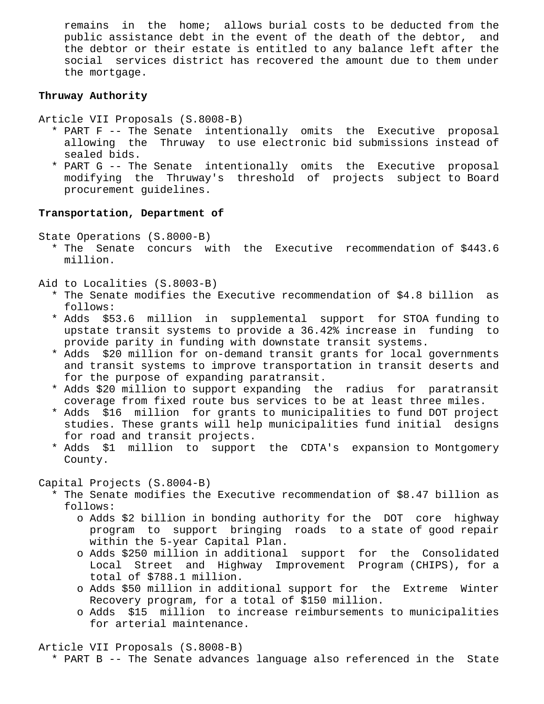remains in the home; allows burial costs to be deducted from the public assistance debt in the event of the death of the debtor, and the debtor or their estate is entitled to any balance left after the social services district has recovered the amount due to them under the mortgage.

# **Thruway Authority**

- Article VII Proposals (S.8008-B)
	- \* PART F -- The Senate intentionally omits the Executive proposal allowing the Thruway to use electronic bid submissions instead of sealed bids.
	- \* PART G -- The Senate intentionally omits the Executive proposal modifying the Thruway's threshold of projects subject to Board procurement guidelines.

## **Transportation, Department of**

State Operations (S.8000-B)

 \* The Senate concurs with the Executive recommendation of \$443.6 million.

Aid to Localities (S.8003-B)

- \* The Senate modifies the Executive recommendation of \$4.8 billion as follows:
- \* Adds \$53.6 million in supplemental support for STOA funding to upstate transit systems to provide a 36.42% increase in funding to provide parity in funding with downstate transit systems.
- \* Adds \$20 million for on-demand transit grants for local governments and transit systems to improve transportation in transit deserts and for the purpose of expanding paratransit.
- \* Adds \$20 million to support expanding the radius for paratransit coverage from fixed route bus services to be at least three miles.
- \* Adds \$16 million for grants to municipalities to fund DOT project studies. These grants will help municipalities fund initial designs for road and transit projects.
- \* Adds \$1 million to support the CDTA's expansion to Montgomery County.

Capital Projects (S.8004-B)

- \* The Senate modifies the Executive recommendation of \$8.47 billion as follows:
	- o Adds \$2 billion in bonding authority for the DOT core highway program to support bringing roads to a state of good repair within the 5-year Capital Plan.
	- o Adds \$250 million in additional support for the Consolidated Local Street and Highway Improvement Program (CHIPS), for a total of \$788.1 million.
	- o Adds \$50 million in additional support for the Extreme Winter Recovery program, for a total of \$150 million.
	- o Adds \$15 million to increase reimbursements to municipalities for arterial maintenance.

Article VII Proposals (S.8008-B)

\* PART B -- The Senate advances language also referenced in the State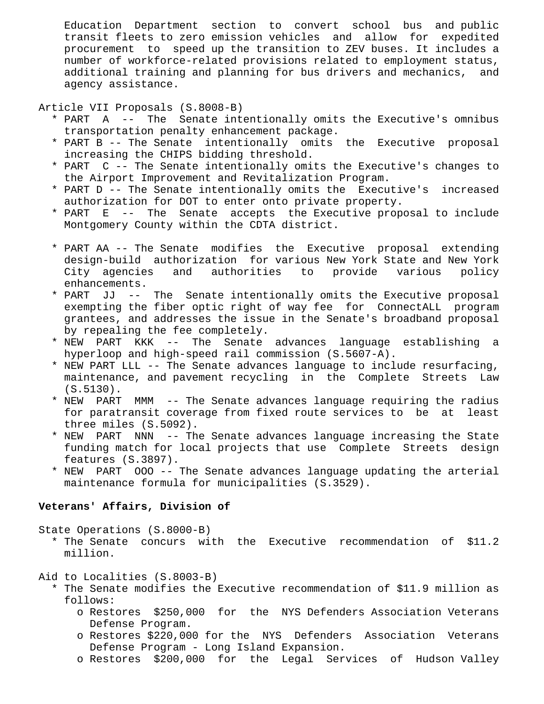Education Department section to convert school bus and public transit fleets to zero emission vehicles and allow for expedited procurement to speed up the transition to ZEV buses. It includes a number of workforce-related provisions related to employment status, additional training and planning for bus drivers and mechanics, and agency assistance.

Article VII Proposals (S.8008-B)

- \* PART A -- The Senate intentionally omits the Executive's omnibus transportation penalty enhancement package.
- \* PART B -- The Senate intentionally omits the Executive proposal increasing the CHIPS bidding threshold.
- \* PART C -- The Senate intentionally omits the Executive's changes to the Airport Improvement and Revitalization Program.
- \* PART D -- The Senate intentionally omits the Executive's increased authorization for DOT to enter onto private property.
- \* PART E -- The Senate accepts the Executive proposal to include Montgomery County within the CDTA district.
- \* PART AA -- The Senate modifies the Executive proposal extending design-build authorization for various New York State and New York City agencies and authorities to provide various policy enhancements.
- \* PART JJ -- The Senate intentionally omits the Executive proposal exempting the fiber optic right of way fee for ConnectALL program grantees, and addresses the issue in the Senate's broadband proposal by repealing the fee completely.
- \* NEW PART KKK -- The Senate advances language establishing a hyperloop and high-speed rail commission (S.5607-A).
- \* NEW PART LLL -- The Senate advances language to include resurfacing, maintenance, and pavement recycling in the Complete Streets Law (S.5130).
- \* NEW PART MMM -- The Senate advances language requiring the radius for paratransit coverage from fixed route services to be at least three miles (S.5092).
- \* NEW PART NNN -- The Senate advances language increasing the State funding match for local projects that use Complete Streets design features (S.3897).
- \* NEW PART OOO -- The Senate advances language updating the arterial maintenance formula for municipalities (S.3529).

# **Veterans' Affairs, Division of**

State Operations (S.8000-B)

 \* The Senate concurs with the Executive recommendation of \$11.2 million.

Aid to Localities (S.8003-B)

- \* The Senate modifies the Executive recommendation of \$11.9 million as follows:
	- o Restores \$250,000 for the NYS Defenders Association Veterans Defense Program.
	- o Restores \$220,000 for the NYS Defenders Association Veterans Defense Program - Long Island Expansion.
	- o Restores \$200,000 for the Legal Services of Hudson Valley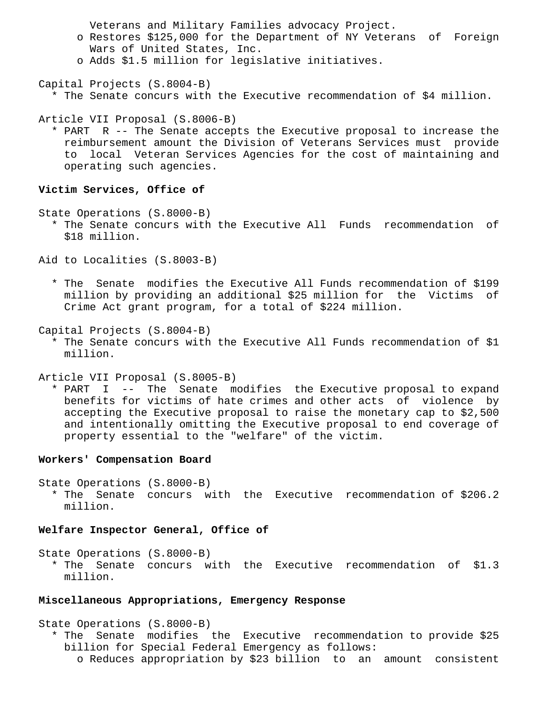Veterans and Military Families advocacy Project.

- o Restores \$125,000 for the Department of NY Veterans of Foreign Wars of United States, Inc.
- o Adds \$1.5 million for legislative initiatives.

Capital Projects (S.8004-B)

\* The Senate concurs with the Executive recommendation of \$4 million.

Article VII Proposal (S.8006-B)

 \* PART R -- The Senate accepts the Executive proposal to increase the reimbursement amount the Division of Veterans Services must provide to local Veteran Services Agencies for the cost of maintaining and operating such agencies.

### **Victim Services, Office of**

State Operations (S.8000-B)

 \* The Senate concurs with the Executive All Funds recommendation of \$18 million.

Aid to Localities (S.8003-B)

 \* The Senate modifies the Executive All Funds recommendation of \$199 million by providing an additional \$25 million for the Victims of Crime Act grant program, for a total of \$224 million.

Capital Projects (S.8004-B)

 \* The Senate concurs with the Executive All Funds recommendation of \$1 million.

Article VII Proposal (S.8005-B)

 \* PART I -- The Senate modifies the Executive proposal to expand benefits for victims of hate crimes and other acts of violence by accepting the Executive proposal to raise the monetary cap to \$2,500 and intentionally omitting the Executive proposal to end coverage of property essential to the "welfare" of the victim.

# **Workers' Compensation Board**

State Operations (S.8000-B)

 \* The Senate concurs with the Executive recommendation of \$206.2 million.

### **Welfare Inspector General, Office of**

State Operations (S.8000-B)

 \* The Senate concurs with the Executive recommendation of \$1.3 million.

# **Miscellaneous Appropriations, Emergency Response**

State Operations (S.8000-B)

 \* The Senate modifies the Executive recommendation to provide \$25 billion for Special Federal Emergency as follows: o Reduces appropriation by \$23 billion to an amount consistent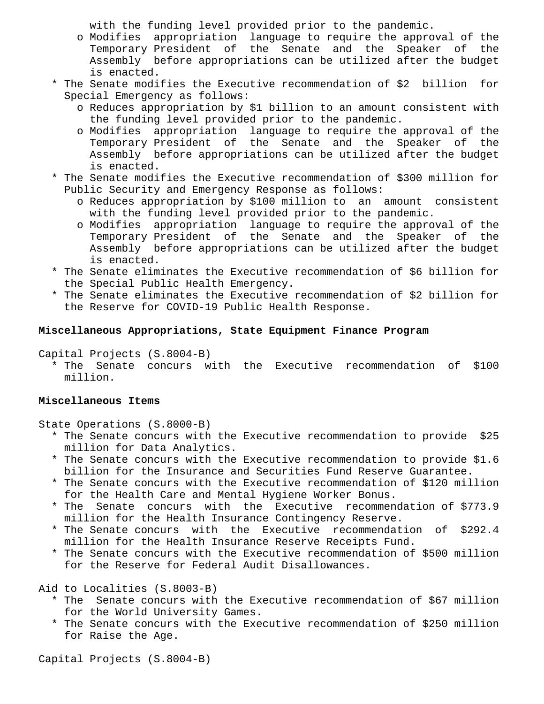with the funding level provided prior to the pandemic.

- o Modifies appropriation language to require the approval of the Temporary President of the Senate and the Speaker of the Assembly before appropriations can be utilized after the budget is enacted.
- \* The Senate modifies the Executive recommendation of \$2 billion for Special Emergency as follows:
	- o Reduces appropriation by \$1 billion to an amount consistent with the funding level provided prior to the pandemic.
	- o Modifies appropriation language to require the approval of the Temporary President of the Senate and the Speaker of the Assembly before appropriations can be utilized after the budget is enacted.
- \* The Senate modifies the Executive recommendation of \$300 million for Public Security and Emergency Response as follows:
	- o Reduces appropriation by \$100 million to an amount consistent with the funding level provided prior to the pandemic.
	- o Modifies appropriation language to require the approval of the Temporary President of the Senate and the Speaker of the Assembly before appropriations can be utilized after the budget is enacted.
- \* The Senate eliminates the Executive recommendation of \$6 billion for the Special Public Health Emergency.
- \* The Senate eliminates the Executive recommendation of \$2 billion for the Reserve for COVID-19 Public Health Response.

# **Miscellaneous Appropriations, State Equipment Finance Program**

Capital Projects (S.8004-B)

 \* The Senate concurs with the Executive recommendation of \$100 million.

# **Miscellaneous Items**

State Operations (S.8000-B)

- \* The Senate concurs with the Executive recommendation to provide \$25 million for Data Analytics.
- \* The Senate concurs with the Executive recommendation to provide \$1.6 billion for the Insurance and Securities Fund Reserve Guarantee.
- \* The Senate concurs with the Executive recommendation of \$120 million for the Health Care and Mental Hygiene Worker Bonus.
- \* The Senate concurs with the Executive recommendation of \$773.9 million for the Health Insurance Contingency Reserve.
- \* The Senate concurs with the Executive recommendation of \$292.4 million for the Health Insurance Reserve Receipts Fund.
- \* The Senate concurs with the Executive recommendation of \$500 million for the Reserve for Federal Audit Disallowances.

Aid to Localities (S.8003-B)

- \* The Senate concurs with the Executive recommendation of \$67 million for the World University Games.
- \* The Senate concurs with the Executive recommendation of \$250 million for Raise the Age.

Capital Projects (S.8004-B)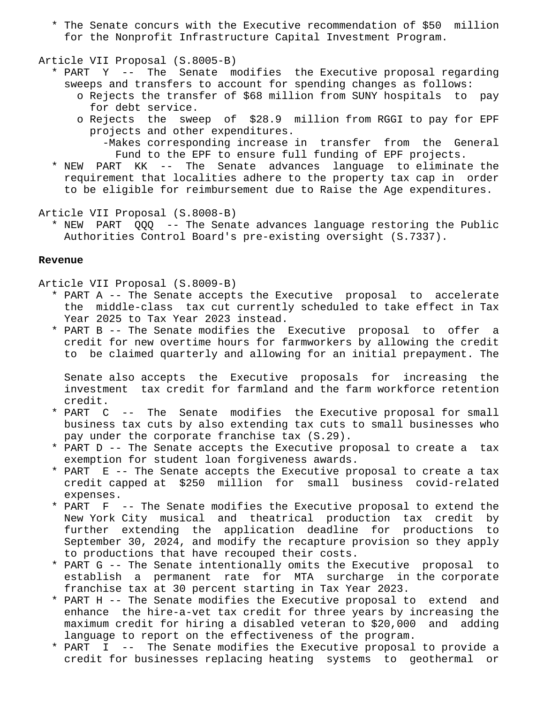\* The Senate concurs with the Executive recommendation of \$50 million for the Nonprofit Infrastructure Capital Investment Program.

#### Article VII Proposal (S.8005-B)

- \* PART Y -- The Senate modifies the Executive proposal regarding sweeps and transfers to account for spending changes as follows:
	- o Rejects the transfer of \$68 million from SUNY hospitals to pay for debt service.
	- o Rejects the sweep of \$28.9 million from RGGI to pay for EPF projects and other expenditures.
		- -Makes corresponding increase in transfer from the General Fund to the EPF to ensure full funding of EPF projects.
- \* NEW PART KK -- The Senate advances language to eliminate the requirement that localities adhere to the property tax cap in order to be eligible for reimbursement due to Raise the Age expenditures.

Article VII Proposal (S.8008-B)

 \* NEW PART QQQ -- The Senate advances language restoring the Public Authorities Control Board's pre-existing oversight (S.7337).

#### **Revenue**

Article VII Proposal (S.8009-B)

- \* PART A -- The Senate accepts the Executive proposal to accelerate the middle-class tax cut currently scheduled to take effect in Tax Year 2025 to Tax Year 2023 instead.
- \* PART B -- The Senate modifies the Executive proposal to offer a credit for new overtime hours for farmworkers by allowing the credit to be claimed quarterly and allowing for an initial prepayment. The

 Senate also accepts the Executive proposals for increasing the investment tax credit for farmland and the farm workforce retention credit.

- \* PART C -- The Senate modifies the Executive proposal for small business tax cuts by also extending tax cuts to small businesses who pay under the corporate franchise tax (S.29).
- \* PART D -- The Senate accepts the Executive proposal to create a tax exemption for student loan forgiveness awards.
- \* PART E -- The Senate accepts the Executive proposal to create a tax credit capped at \$250 million for small business covid-related expenses.
- \* PART F -- The Senate modifies the Executive proposal to extend the New York City musical and theatrical production tax credit by further extending the application deadline for productions to September 30, 2024, and modify the recapture provision so they apply to productions that have recouped their costs.
- \* PART G -- The Senate intentionally omits the Executive proposal to establish a permanent rate for MTA surcharge in the corporate franchise tax at 30 percent starting in Tax Year 2023.
- \* PART H -- The Senate modifies the Executive proposal to extend and enhance the hire-a-vet tax credit for three years by increasing the maximum credit for hiring a disabled veteran to \$20,000 and adding language to report on the effectiveness of the program.
- \* PART I -- The Senate modifies the Executive proposal to provide a credit for businesses replacing heating systems to geothermal or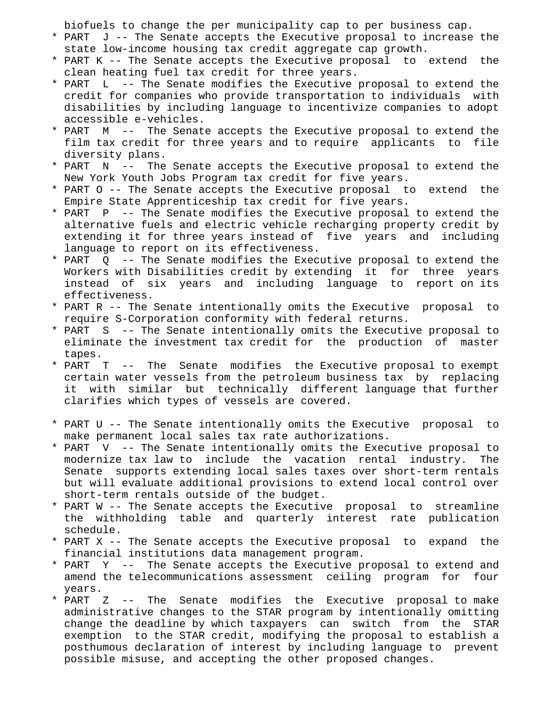biofuels to change the per municipality cap to per business cap.

- \* PART J -- The Senate accepts the Executive proposal to increase the state low-income housing tax credit aggregate cap growth.
- \* PART K -- The Senate accepts the Executive proposal to extend the clean heating fuel tax credit for three years.
- \* PART L -- The Senate modifies the Executive proposal to extend the credit for companies who provide transportation to individuals with disabilities by including language to incentivize companies to adopt accessible e-vehicles.
- \* PART M -- The Senate accepts the Executive proposal to extend the film tax credit for three years and to require applicants to file diversity plans.
- \* PART N -- The Senate accepts the Executive proposal to extend the New York Youth Jobs Program tax credit for five years.
- \* PART O -- The Senate accepts the Executive proposal to extend the Empire State Apprenticeship tax credit for five years.
- \* PART P -- The Senate modifies the Executive proposal to extend the alternative fuels and electric vehicle recharging property credit by extending it for three years instead of five years and including language to report on its effectiveness.
- \* PART Q -- The Senate modifies the Executive proposal to extend the Workers with Disabilities credit by extending it for three years instead of six years and including language to report on its effectiveness.
- \* PART R -- The Senate intentionally omits the Executive proposal to require S-Corporation conformity with federal returns.
- \* PART S -- The Senate intentionally omits the Executive proposal to eliminate the investment tax credit for the production of master tapes.
- \* PART T -- The Senate modifies the Executive proposal to exempt certain water vessels from the petroleum business tax by replacing it with similar but technically different language that further clarifies which types of vessels are covered.
- \* PART U -- The Senate intentionally omits the Executive proposal to make permanent local sales tax rate authorizations.
- \* PART V -- The Senate intentionally omits the Executive proposal to modernize tax law to include the vacation rental industry. The Senate supports extending local sales taxes over short-term rentals but will evaluate additional provisions to extend local control over short-term rentals outside of the budget.
- \* PART W -- The Senate accepts the Executive proposal to streamline the withholding table and quarterly interest rate publication schedule.
- \* PART X -- The Senate accepts the Executive proposal to expand the financial institutions data management program.
- \* PART Y -- The Senate accepts the Executive proposal to extend and amend the telecommunications assessment ceiling program for four years.
- \* PART Z -- The Senate modifies the Executive proposal to make administrative changes to the STAR program by intentionally omitting change the deadline by which taxpayers can switch from the STAR exemption to the STAR credit, modifying the proposal to establish a posthumous declaration of interest by including language to prevent possible misuse, and accepting the other proposed changes.